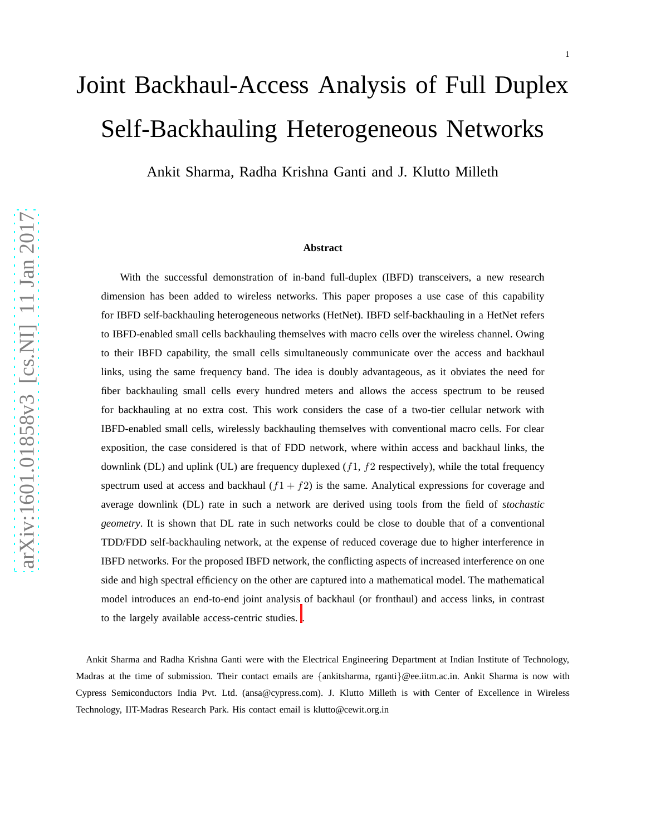# Joint Backhaul-Access Analysis of Full Duplex Self-Backhauling Heterogeneous Networks

Ankit Sharma, Radha Krishna Ganti and J. Klutto Milleth

#### **Abstract**

With the successful demonstration of in-band full-duplex (IBFD) transceivers, a new research dimension has been added to wireless networks. This paper proposes a use case of this capability for IBFD self-backhauling heterogeneous networks (HetNet). IBFD self-backhauling in a HetNet refers to IBFD-enabled small cells backhauling themselves with macro cells over the wireless channel. Owing to their IBFD capability, the small cells simultaneously communicate over the access and backhaul links, using the same frequency band. The idea is doubly advantageous, as it obviates the need for fiber backhauling small cells every hundred meters and allows the access spectrum to be reused for backhauling at no extra cost. This work considers the case of a two-tier cellular network with IBFD-enabled small cells, wirelessly backhauling themselves with conventional macro cells. For clear exposition, the case considered is that of FDD network, where within access and backhaul links, the downlink (DL) and uplink (UL) are frequency duplexed  $(f1, f2)$  respectively), while the total frequency spectrum used at access and backhaul  $(f1 + f2)$  is the same. Analytical expressions for coverage and average downlink (DL) rate in such a network are derived using tools from the field of *stochastic geometry*. It is shown that DL rate in such networks could be close to double that of a conventional TDD/FDD self-backhauling network, at the expense of reduced coverage due to higher interference in IBFD networks. For the proposed IBFD network, the conflicting aspects of increased interference on one side and high spectral efficiency on the other are captured into a mathematical model. The mathematical model introduces an end-to-end joint analysis of backhaul (or fronthaul) and access links, in contrast to the largely available access-centric studies. .

<span id="page-0-0"></span>Ankit Sharma and Radha Krishna Ganti were with the Electrical Engineering Department at Indian Institute of Technology, Madras at the time of submission. Their contact emails are {ankitsharma, rganti}@ee.iitm.ac.in. Ankit Sharma is now with Cypress Semiconductors India Pvt. Ltd. (ansa@cypress.com). J. Klutto Milleth is with Center of Excellence in Wireless Technology, IIT-Madras Research Park. His contact email is klutto@cewit.org.in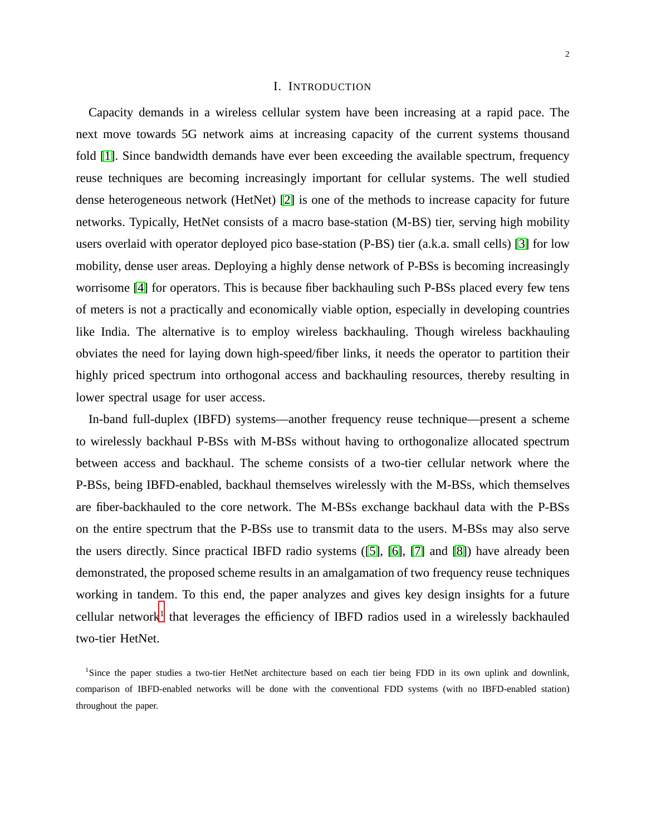# I. INTRODUCTION

Capacity demands in a wireless cellular system have been increasing at a rapid pace. The next move towards 5G network aims at increasing capacity of the current systems thousand fold [\[1\]](#page-23-0). Since bandwidth demands have ever been exceeding the available spectrum, frequency reuse techniques are becoming increasingly important for cellular systems. The well studied dense heterogeneous network (HetNet) [\[2\]](#page-24-0) is one of the methods to increase capacity for future networks. Typically, HetNet consists of a macro base-station (M-BS) tier, serving high mobility users overlaid with operator deployed pico base-station (P-BS) tier (a.k.a. small cells) [\[3\]](#page-24-1) for low mobility, dense user areas. Deploying a highly dense network of P-BSs is becoming increasingly worrisome [\[4\]](#page-24-2) for operators. This is because fiber backhauling such P-BSs placed every few tens of meters is not a practically and economically viable option, especially in developing countries like India. The alternative is to employ wireless backhauling. Though wireless backhauling obviates the need for laying down high-speed/fiber links, it needs the operator to partition their highly priced spectrum into orthogonal access and backhauling resources, thereby resulting in lower spectral usage for user access.

In-band full-duplex (IBFD) systems—another frequency reuse technique—present a scheme to wirelessly backhaul P-BSs with M-BSs without having to orthogonalize allocated spectrum between access and backhaul. The scheme consists of a two-tier cellular network where the P-BSs, being IBFD-enabled, backhaul themselves wirelessly with the M-BSs, which themselves are fiber-backhauled to the core network. The M-BSs exchange backhaul data with the P-BSs on the entire spectrum that the P-BSs use to transmit data to the users. M-BSs may also serve the users directly. Since practical IBFD radio systems ([\[5\]](#page-24-3), [\[6\]](#page-24-4), [\[7\]](#page-24-5) and [\[8\]](#page-24-6)) have already been demonstrated, the proposed scheme results in an amalgamation of two frequency reuse techniques working in tandem. To this end, the paper analyzes and gives key design insights for a future cellular network<sup>[1](#page-1-0)</sup> that leverages the efficiency of IBFD radios used in a wirelessly backhauled two-tier HetNet.

<span id="page-1-0"></span><sup>&</sup>lt;sup>1</sup>Since the paper studies a two-tier HetNet architecture based on each tier being FDD in its own uplink and downlink, comparison of IBFD-enabled networks will be done with the conventional FDD systems (with no IBFD-enabled station) throughout the paper.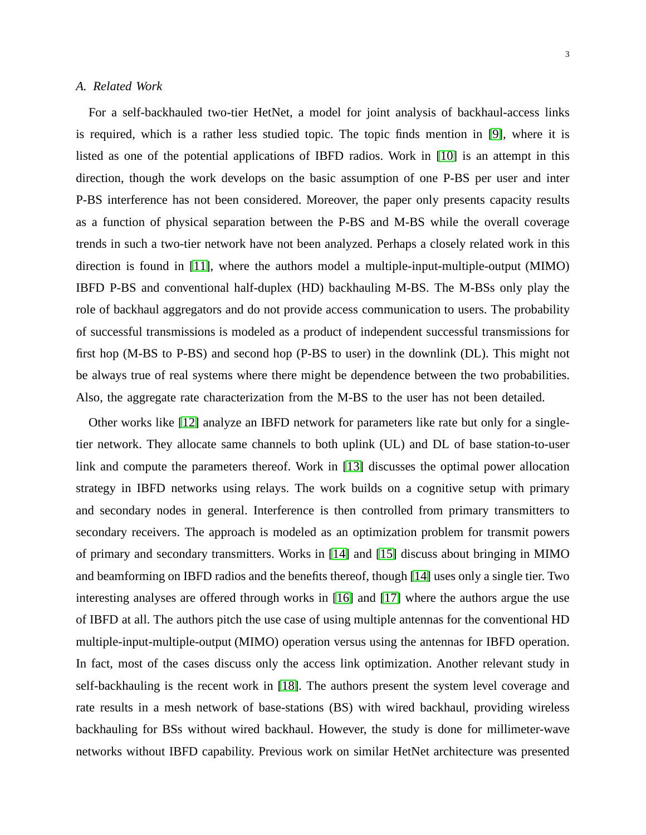# *A. Related Work*

For a self-backhauled two-tier HetNet, a model for joint analysis of backhaul-access links is required, which is a rather less studied topic. The topic finds mention in [\[9\]](#page-24-7), where it is listed as one of the potential applications of IBFD radios. Work in [\[10\]](#page-24-8) is an attempt in this direction, though the work develops on the basic assumption of one P-BS per user and inter P-BS interference has not been considered. Moreover, the paper only presents capacity results as a function of physical separation between the P-BS and M-BS while the overall coverage trends in such a two-tier network have not been analyzed. Perhaps a closely related work in this direction is found in [\[11\]](#page-24-9), where the authors model a multiple-input-multiple-output (MIMO) IBFD P-BS and conventional half-duplex (HD) backhauling M-BS. The M-BSs only play the role of backhaul aggregators and do not provide access communication to users. The probability of successful transmissions is modeled as a product of independent successful transmissions for first hop (M-BS to P-BS) and second hop (P-BS to user) in the downlink (DL). This might not be always true of real systems where there might be dependence between the two probabilities. Also, the aggregate rate characterization from the M-BS to the user has not been detailed.

Other works like [\[12\]](#page-24-10) analyze an IBFD network for parameters like rate but only for a singletier network. They allocate same channels to both uplink (UL) and DL of base station-to-user link and compute the parameters thereof. Work in [\[13\]](#page-24-11) discusses the optimal power allocation strategy in IBFD networks using relays. The work builds on a cognitive setup with primary and secondary nodes in general. Interference is then controlled from primary transmitters to secondary receivers. The approach is modeled as an optimization problem for transmit powers of primary and secondary transmitters. Works in [\[14\]](#page-24-12) and [\[15\]](#page-24-13) discuss about bringing in MIMO and beamforming on IBFD radios and the benefits thereof, though [\[14\]](#page-24-12) uses only a single tier. Two interesting analyses are offered through works in [\[16\]](#page-24-14) and [\[17\]](#page-24-15) where the authors argue the use of IBFD at all. The authors pitch the use case of using multiple antennas for the conventional HD multiple-input-multiple-output (MIMO) operation versus using the antennas for IBFD operation. In fact, most of the cases discuss only the access link optimization. Another relevant study in self-backhauling is the recent work in [\[18\]](#page-24-16). The authors present the system level coverage and rate results in a mesh network of base-stations (BS) with wired backhaul, providing wireless backhauling for BSs without wired backhaul. However, the study is done for millimeter-wave networks without IBFD capability. Previous work on similar HetNet architecture was presented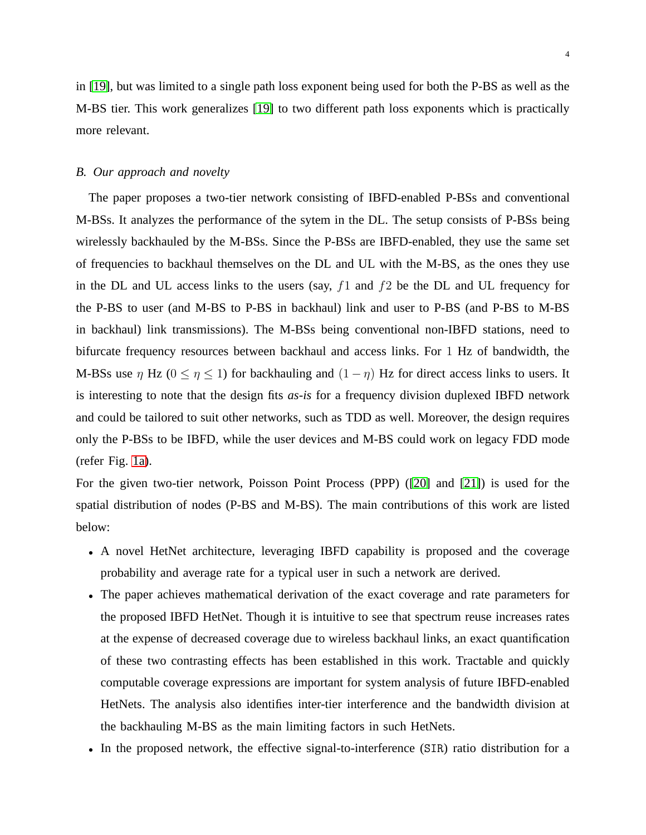in [\[19\]](#page-24-17), but was limited to a single path loss exponent being used for both the P-BS as well as the M-BS tier. This work generalizes [\[19\]](#page-24-17) to two different path loss exponents which is practically more relevant.

### *B. Our approach and novelty*

The paper proposes a two-tier network consisting of IBFD-enabled P-BSs and conventional M-BSs. It analyzes the performance of the sytem in the DL. The setup consists of P-BSs being wirelessly backhauled by the M-BSs. Since the P-BSs are IBFD-enabled, they use the same set of frequencies to backhaul themselves on the DL and UL with the M-BS, as the ones they use in the DL and UL access links to the users (say,  $f_1$  and  $f_2$  be the DL and UL frequency for the P-BS to user (and M-BS to P-BS in backhaul) link and user to P-BS (and P-BS to M-BS in backhaul) link transmissions). The M-BSs being conventional non-IBFD stations, need to bifurcate frequency resources between backhaul and access links. For 1 Hz of bandwidth, the M-BSs use  $\eta$  Hz ( $0 \le \eta \le 1$ ) for backhauling and  $(1 - \eta)$  Hz for direct access links to users. It is interesting to note that the design fits *as-is* for a frequency division duplexed IBFD network and could be tailored to suit other networks, such as TDD as well. Moreover, the design requires only the P-BSs to be IBFD, while the user devices and M-BS could work on legacy FDD mode (refer Fig. [1a\)](#page-6-0).

For the given two-tier network, Poisson Point Process (PPP) ([\[20\]](#page-24-18) and [\[21\]](#page-24-19)) is used for the spatial distribution of nodes (P-BS and M-BS). The main contributions of this work are listed below:

- A novel HetNet architecture, leveraging IBFD capability is proposed and the coverage probability and average rate for a typical user in such a network are derived.
- The paper achieves mathematical derivation of the exact coverage and rate parameters for the proposed IBFD HetNet. Though it is intuitive to see that spectrum reuse increases rates at the expense of decreased coverage due to wireless backhaul links, an exact quantification of these two contrasting effects has been established in this work. Tractable and quickly computable coverage expressions are important for system analysis of future IBFD-enabled HetNets. The analysis also identifies inter-tier interference and the bandwidth division at the backhauling M-BS as the main limiting factors in such HetNets.
- In the proposed network, the effective signal-to-interference (SIR) ratio distribution for a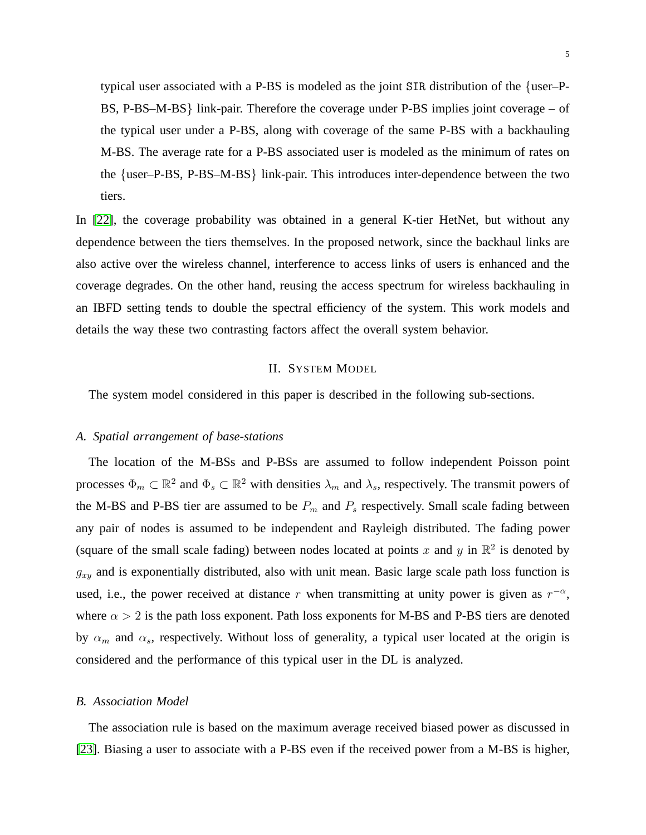typical user associated with a P-BS is modeled as the joint SIR distribution of the {user–P-BS, P-BS–M-BS} link-pair. Therefore the coverage under P-BS implies joint coverage – of the typical user under a P-BS, along with coverage of the same P-BS with a backhauling M-BS. The average rate for a P-BS associated user is modeled as the minimum of rates on the {user–P-BS, P-BS–M-BS} link-pair. This introduces inter-dependence between the two tiers.

In [\[22\]](#page-25-0), the coverage probability was obtained in a general K-tier HetNet, but without any dependence between the tiers themselves. In the proposed network, since the backhaul links are also active over the wireless channel, interference to access links of users is enhanced and the coverage degrades. On the other hand, reusing the access spectrum for wireless backhauling in an IBFD setting tends to double the spectral efficiency of the system. This work models and details the way these two contrasting factors affect the overall system behavior.

#### II. SYSTEM MODEL

The system model considered in this paper is described in the following sub-sections.

# *A. Spatial arrangement of base-stations*

The location of the M-BSs and P-BSs are assumed to follow independent Poisson point processes  $\Phi_m \subset \mathbb{R}^2$  and  $\Phi_s \subset \mathbb{R}^2$  with densities  $\lambda_m$  and  $\lambda_s$ , respectively. The transmit powers of the M-BS and P-BS tier are assumed to be  $P_m$  and  $P_s$  respectively. Small scale fading between any pair of nodes is assumed to be independent and Rayleigh distributed. The fading power (square of the small scale fading) between nodes located at points x and y in  $\mathbb{R}^2$  is denoted by  $g_{xy}$  and is exponentially distributed, also with unit mean. Basic large scale path loss function is used, i.e., the power received at distance r when transmitting at unity power is given as  $r^{-\alpha}$ , where  $\alpha > 2$  is the path loss exponent. Path loss exponents for M-BS and P-BS tiers are denoted by  $\alpha_m$  and  $\alpha_s$ , respectively. Without loss of generality, a typical user located at the origin is considered and the performance of this typical user in the DL is analyzed.

# *B. Association Model*

The association rule is based on the maximum average received biased power as discussed in [\[23\]](#page-25-1). Biasing a user to associate with a P-BS even if the received power from a M-BS is higher,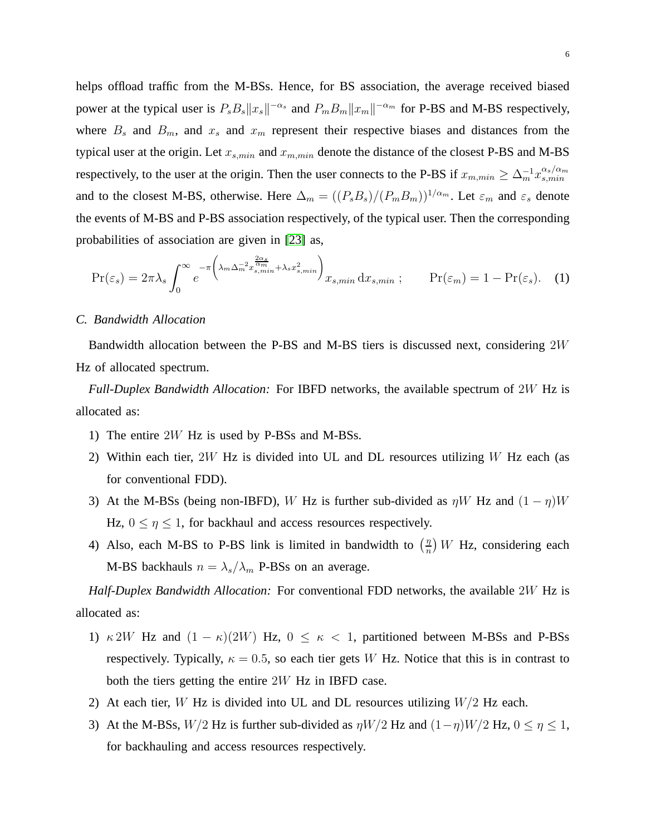helps offload traffic from the M-BSs. Hence, for BS association, the average received biased power at the typical user is  $P_s B_s ||x_s||^{-\alpha_s}$  and  $P_m B_m ||x_m||^{-\alpha_m}$  for P-BS and M-BS respectively, where  $B_s$  and  $B_m$ , and  $x_s$  and  $x_m$  represent their respective biases and distances from the typical user at the origin. Let  $x_{s,min}$  and  $x_{m,min}$  denote the distance of the closest P-BS and M-BS respectively, to the user at the origin. Then the user connects to the P-BS if  $x_{m,min} \geq \Delta_m^{-1} x_{s,min}^{\alpha_s/\alpha_m}$ s,min and to the closest M-BS, otherwise. Here  $\Delta_m = ((P_s B_s)/(P_m B_m))^{1/\alpha_m}$ . Let  $\varepsilon_m$  and  $\varepsilon_s$  denote the events of M-BS and P-BS association respectively, of the typical user. Then the corresponding probabilities of association are given in [\[23\]](#page-25-1) as,

<span id="page-5-0"></span>
$$
\Pr(\varepsilon_s) = 2\pi\lambda_s \int_0^\infty e^{-\pi \left(\lambda_m \Delta_m^{-2} x_{s,min}^{\frac{2\alpha_s}{\alpha_m}} + \lambda_s x_{s,min}^2\right)} x_{s,min} \, dx_{s,min} \; ; \qquad \Pr(\varepsilon_m) = 1 - \Pr(\varepsilon_s). \tag{1}
$$

#### <span id="page-5-1"></span>*C. Bandwidth Allocation*

Bandwidth allocation between the P-BS and M-BS tiers is discussed next, considering 2W Hz of allocated spectrum.

*Full-Duplex Bandwidth Allocation:* For IBFD networks, the available spectrum of 2W Hz is allocated as:

- 1) The entire 2W Hz is used by P-BSs and M-BSs.
- 2) Within each tier,  $2W$  Hz is divided into UL and DL resources utilizing W Hz each (as for conventional FDD).
- 3) At the M-BSs (being non-IBFD), W Hz is further sub-divided as  $\eta W$  Hz and  $(1 \eta)W$ Hz,  $0 \le \eta \le 1$ , for backhaul and access resources respectively.
- 4) Also, each M-BS to P-BS link is limited in bandwidth to  $\left(\frac{\eta}{n}\right)$  $\frac{\eta}{n}$ ) W Hz, considering each M-BS backhauls  $n = \lambda_s/\lambda_m$  P-BSs on an average.

*Half-Duplex Bandwidth Allocation:* For conventional FDD networks, the available 2W Hz is allocated as:

- 1)  $\kappa$  2W Hz and  $(1 \kappa)(2W)$  Hz,  $0 \le \kappa < 1$ , partitioned between M-BSs and P-BSs respectively. Typically,  $\kappa = 0.5$ , so each tier gets W Hz. Notice that this is in contrast to both the tiers getting the entire 2W Hz in IBFD case.
- 2) At each tier, W Hz is divided into UL and DL resources utilizing  $W/2$  Hz each.
- 3) At the M-BSs,  $W/2$  Hz is further sub-divided as  $\eta W/2$  Hz and  $(1-\eta)W/2$  Hz,  $0 \le \eta \le 1$ , for backhauling and access resources respectively.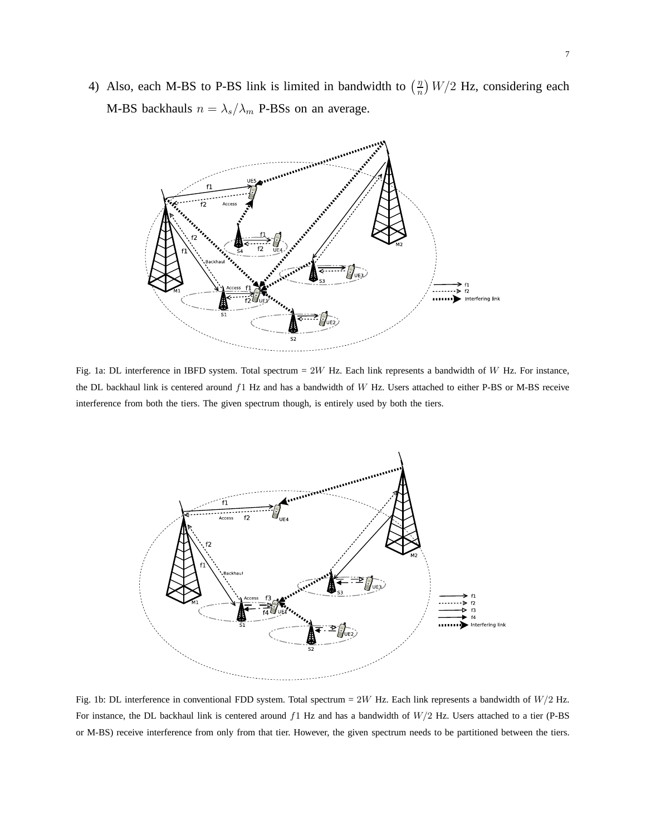<span id="page-6-0"></span>4) Also, each M-BS to P-BS link is limited in bandwidth to  $\left(\frac{\eta}{n}\right)$  $\frac{n}{n}$ ) W/2 Hz, considering each M-BS backhauls  $n = \lambda_s/\lambda_m$  P-BSs on an average.



Fig. 1a: DL interference in IBFD system. Total spectrum =  $2W$  Hz. Each link represents a bandwidth of W Hz. For instance, the DL backhaul link is centered around f1 Hz and has a bandwidth of W Hz. Users attached to either P-BS or M-BS receive interference from both the tiers. The given spectrum though, is entirely used by both the tiers.

<span id="page-6-1"></span>

Fig. 1b: DL interference in conventional FDD system. Total spectrum =  $2W$  Hz. Each link represents a bandwidth of  $W/2$  Hz. For instance, the DL backhaul link is centered around  $f1$  Hz and has a bandwidth of  $W/2$  Hz. Users attached to a tier (P-BS or M-BS) receive interference from only from that tier. However, the given spectrum needs to be partitioned between the tiers.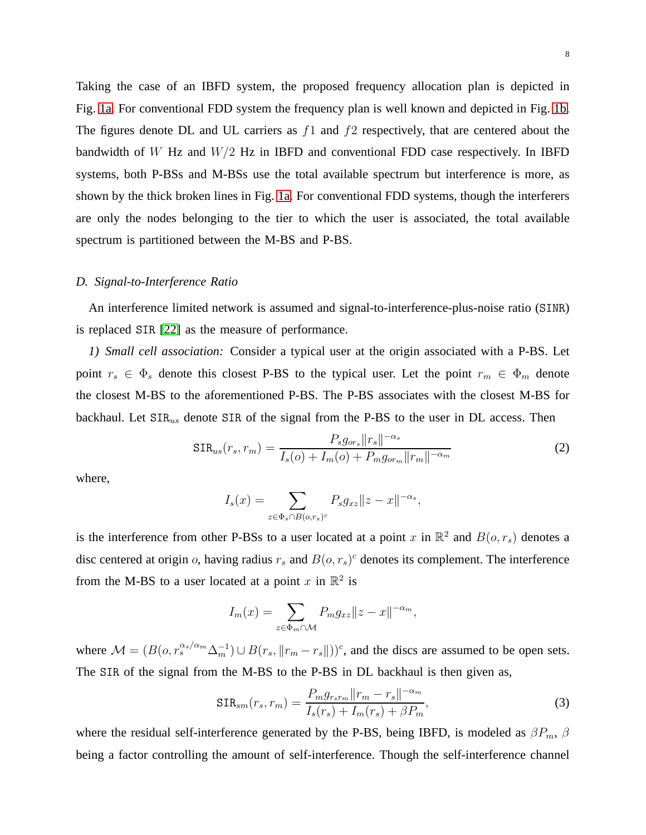Taking the case of an IBFD system, the proposed frequency allocation plan is depicted in Fig. [1a.](#page-6-0) For conventional FDD system the frequency plan is well known and depicted in Fig. [1b.](#page-6-1) The figures denote DL and UL carriers as  $f_1$  and  $f_2$  respectively, that are centered about the bandwidth of W Hz and  $W/2$  Hz in IBFD and conventional FDD case respectively. In IBFD systems, both P-BSs and M-BSs use the total available spectrum but interference is more, as shown by the thick broken lines in Fig. [1a.](#page-6-0) For conventional FDD systems, though the interferers are only the nodes belonging to the tier to which the user is associated, the total available spectrum is partitioned between the M-BS and P-BS.

#### *D. Signal-to-Interference Ratio*

An interference limited network is assumed and signal-to-interference-plus-noise ratio (SINR) is replaced SIR [\[22\]](#page-25-0) as the measure of performance.

*1) Small cell association:* Consider a typical user at the origin associated with a P-BS. Let point  $r_s \in \Phi_s$  denote this closest P-BS to the typical user. Let the point  $r_m \in \Phi_m$  denote the closest M-BS to the aforementioned P-BS. The P-BS associates with the closest M-BS for backhaul. Let  $SIR<sub>us</sub>$  denote  $SIR$  of the signal from the P-BS to the user in DL access. Then

$$
SIR_{us}(r_s, r_m) = \frac{P_s g_{or_s} ||r_s||^{-\alpha_s}}{I_s(o) + I_m(o) + P_m g_{or_m} ||r_m||^{-\alpha_m}}
$$
(2)

where,

$$
I_s(x) = \sum_{z \in \Phi_s \cap B(o, r_s)^c} P_s g_{xz} ||z - x||^{-\alpha_s},
$$

is the interference from other P-BSs to a user located at a point x in  $\mathbb{R}^2$  and  $B(o, r_s)$  denotes a disc centered at origin o, having radius  $r_s$  and  $B(o, r_s)^c$  denotes its complement. The interference from the M-BS to a user located at a point x in  $\mathbb{R}^2$  is

<span id="page-7-0"></span>
$$
I_m(x) = \sum_{z \in \Phi_m \cap \mathcal{M}} P_m g_{xz} ||z - x||^{-\alpha_m},
$$

where  $\mathcal{M} = (B(o, r_s^{\alpha_s/\alpha_m} \Delta_m^{-1}) \cup B(r_s, ||r_m - r_s||))^c$ , and the discs are assumed to be open sets. The SIR of the signal from the M-BS to the P-BS in DL backhaul is then given as,

$$
SIR_{sm}(r_s, r_m) = \frac{P_m g_{r_s r_m} ||r_m - r_s||^{-\alpha_m}}{I_s(r_s) + I_m(r_s) + \beta P_m},
$$
\n(3)

where the residual self-interference generated by the P-BS, being IBFD, is modeled as  $\beta P_m$ ,  $\beta$ being a factor controlling the amount of self-interference. Though the self-interference channel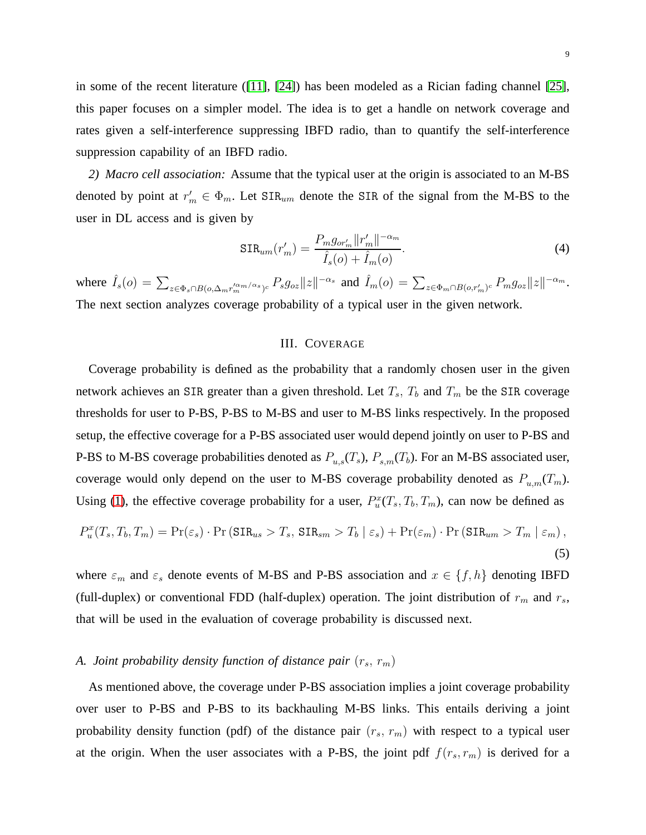in some of the recent literature ([\[11\]](#page-24-9), [\[24\]](#page-25-2)) has been modeled as a Rician fading channel [\[25\]](#page-25-3), this paper focuses on a simpler model. The idea is to get a handle on network coverage and rates given a self-interference suppressing IBFD radio, than to quantify the self-interference suppression capability of an IBFD radio.

*2) Macro cell association:* Assume that the typical user at the origin is associated to an M-BS denoted by point at  $r'_m \in \Phi_m$ . Let  $\text{SIR}_{um}$  denote the SIR of the signal from the M-BS to the user in DL access and is given by

$$
SIR_{um}(r'_{m}) = \frac{P_{m}g_{or'_{m}}||r'_{m}||^{-\alpha_{m}}}{\hat{I}_{s}(o) + \hat{I}_{m}(o)}.
$$
\n(4)

where  $\hat{I}_s(o) = \sum_{z \in \Phi_s \cap B(o, \Delta_m r_m'^{\alpha_m/\alpha_s})^c} P_s g_{oz} ||z||^{-\alpha_s}$  and  $\hat{I}_m(o) = \sum_{z \in \Phi_m \cap B(o, r_m')^c} P_m g_{oz} ||z||^{-\alpha_m}$ . The next section analyzes coverage probability of a typical user in the given network.

# III. COVERAGE

Coverage probability is defined as the probability that a randomly chosen user in the given network achieves an SIR greater than a given threshold. Let  $T_s$ ,  $T_b$  and  $T_m$  be the SIR coverage thresholds for user to P-BS, P-BS to M-BS and user to M-BS links respectively. In the proposed setup, the effective coverage for a P-BS associated user would depend jointly on user to P-BS and P-BS to M-BS coverage probabilities denoted as  $P_{u,s}(T_s)$ ,  $P_{s,m}(T_b)$ . For an M-BS associated user, coverage would only depend on the user to M-BS coverage probability denoted as  $P_{u,m}(T_m)$ . Using [\(1\)](#page-5-0), the effective coverage probability for a user,  $P_u^x(T_s, T_b, T_m)$ , can now be defined as

<span id="page-8-0"></span>
$$
P_u^x(T_s, T_b, T_m) = \Pr(\varepsilon_s) \cdot \Pr(\text{SIR}_{us} > T_s, \text{SIR}_{sm} > T_b \mid \varepsilon_s) + \Pr(\varepsilon_m) \cdot \Pr(\text{SIR}_{um} > T_m \mid \varepsilon_m),\tag{5}
$$

where  $\varepsilon_m$  and  $\varepsilon_s$  denote events of M-BS and P-BS association and  $x \in \{f, h\}$  denoting IBFD (full-duplex) or conventional FDD (half-duplex) operation. The joint distribution of  $r_m$  and  $r_s$ , that will be used in the evaluation of coverage probability is discussed next.

# *A. Joint probability density function of distance pair*  $(r_s, r_m)$

As mentioned above, the coverage under P-BS association implies a joint coverage probability over user to P-BS and P-BS to its backhauling M-BS links. This entails deriving a joint probability density function (pdf) of the distance pair  $(r_s, r_m)$  with respect to a typical user at the origin. When the user associates with a P-BS, the joint pdf  $f(r_s, r_m)$  is derived for a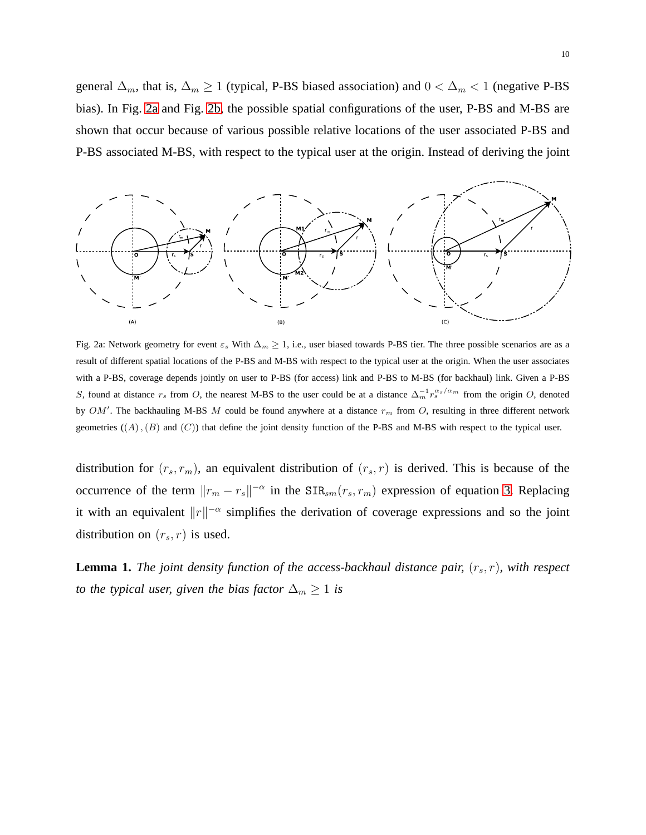general  $\Delta_m$ , that is,  $\Delta_m \geq 1$  (typical, P-BS biased association) and  $0 < \Delta_m < 1$  (negative P-BS bias). In Fig. [2a](#page-9-0) and Fig. [2b,](#page-10-0) the possible spatial configurations of the user, P-BS and M-BS are shown that occur because of various possible relative locations of the user associated P-BS and P-BS associated M-BS, with respect to the typical user at the origin. Instead of deriving the joint

<span id="page-9-0"></span>

Fig. 2a: Network geometry for event  $\varepsilon_s$  With  $\Delta_m \geq 1$ , i.e., user biased towards P-BS tier. The three possible scenarios are as a result of different spatial locations of the P-BS and M-BS with respect to the typical user at the origin. When the user associates with a P-BS, coverage depends jointly on user to P-BS (for access) link and P-BS to M-BS (for backhaul) link. Given a P-BS S, found at distance  $r_s$  from O, the nearest M-BS to the user could be at a distance  $\Delta_m^{-1} r_s^{\alpha_s/\alpha_m}$  from the origin O, denoted by  $OM'$ . The backhauling M-BS M could be found anywhere at a distance  $r_m$  from O, resulting in three different network geometries  $((A), (B)$  and  $(C)$ ) that define the joint density function of the P-BS and M-BS with respect to the typical user.

distribution for  $(r_s, r_m)$ , an equivalent distribution of  $(r_s, r)$  is derived. This is because of the occurrence of the term  $||r_m - r_s||^{-\alpha}$  in the SIR<sub>sm</sub> $(r_s, r_m)$  expression of equation [3.](#page-7-0) Replacing it with an equivalent  $||r||^{-\alpha}$  simplifies the derivation of coverage expressions and so the joint distribution on  $(r_s, r)$  is used.

**Lemma 1.** *The joint density function of the access-backhaul distance pair,*  $(r_s, r)$ *, with respect to the typical user, given the bias factor*  $\Delta_m \geq 1$  *is*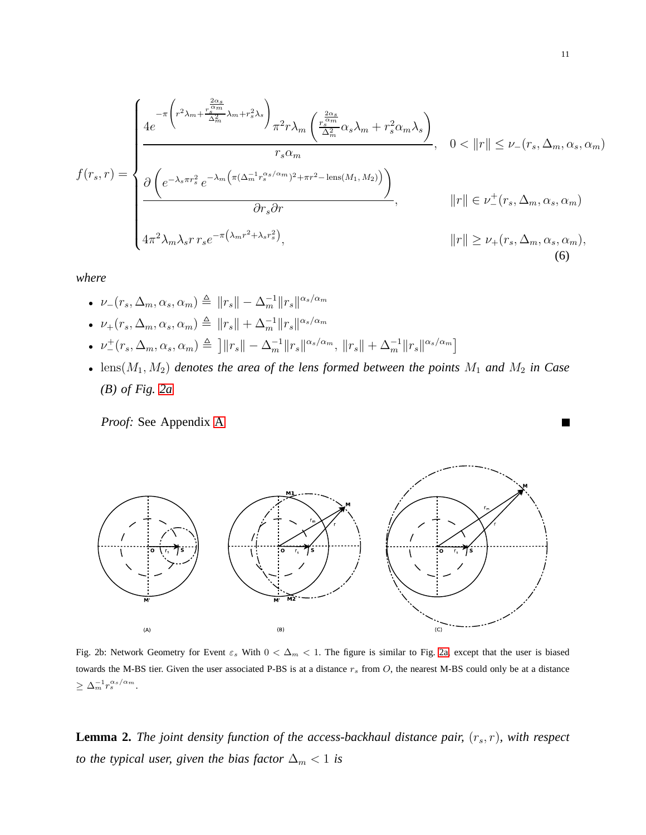<span id="page-10-1"></span>
$$
f(r_s, r) = \begin{cases} \frac{-\pi \left(r^2 \lambda_m + \frac{r_s^2 \alpha_s}{\Delta_m^2} \lambda_m + r_s^2 \lambda_s\right)}{\Delta_m^2} \frac{r_s^2 r \lambda_m \left(\frac{r_s^2 \alpha_s}{\Delta_m^2} \alpha_s \lambda_m + r_s^2 \alpha_m \lambda_s\right)}{r_s \alpha_m}, & 0 < ||r|| \le \nu_-(r_s, \Delta_m, \alpha_s, \alpha_m) \end{cases}
$$
  

$$
\frac{\partial \left(e^{-\lambda_s \pi r_s^2} e^{-\lambda_m \left(\pi (\Delta_m^{-1} r_s^{\alpha_s/\alpha_m})^2 + \pi r^2 - \text{lens}(M_1, M_2)\right)}\right)}{\partial r_s \partial r}, \qquad ||r|| \in \nu_-(r_s, \Delta_m, \alpha_s, \alpha_m)
$$
  

$$
4\pi^2 \lambda_m \lambda_s r r_s e^{-\pi (\lambda_m r^2 + \lambda_s r_s^2)}, \qquad ||r|| \ge \nu_+(r_s, \Delta_m, \alpha_s, \alpha_m), \qquad (6)
$$

*where*

- $\nu_{-}(r_s, \Delta_m, \alpha_s, \alpha_m) \triangleq ||r_s|| \Delta_m^{-1} ||r_s||^{\alpha_s/\alpha_m}$
- $\nu_{+}(r_s, \Delta_m, \alpha_s, \alpha_m) \triangleq ||r_s|| + \Delta_m^{-1} ||r_s||^{\alpha_s/\alpha_m}$
- $\nu^{\perp}(r_s, \Delta_m, \alpha_s, \alpha_m) \triangleq \left] \|r_s\| \Delta_m^{-1} \|r_s\|^{\alpha_s/\alpha_m}, \|r_s\| + \Delta_m^{-1} \|r_s\|^{\alpha_s/\alpha_m} \right]$
- $lens(M_1, M_2)$  *denotes the area of the lens formed between the points*  $M_1$  *and*  $M_2$  *in Case (B) of Fig. [2a](#page-9-0)*

<span id="page-10-0"></span>*Proof:* See Appendix [A](#page-25-4)



Fig. 2b: Network Geometry for Event  $\varepsilon_s$  With  $0 < \Delta_m < 1$ . The figure is similar to Fig. [2a,](#page-9-0) except that the user is biased towards the M-BS tier. Given the user associated P-BS is at a distance  $r_s$  from  $O$ , the nearest M-BS could only be at a distance  $\geq \Delta_m^{-1} r_s^{\alpha_s/\alpha_m}.$ 

**Lemma 2.** *The joint density function of the access-backhaul distance pair,*  $(r_s, r)$ *, with respect to the typical user, given the bias factor*  $\Delta_m < 1$  *is* 

 $\mathcal{L}_{\mathcal{A}}$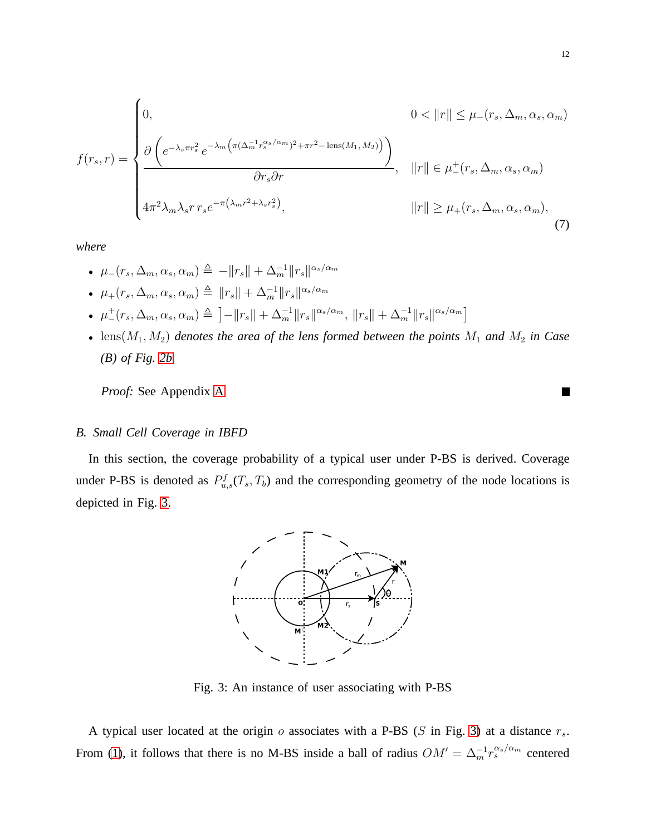$$
f(r_s, r) = \begin{cases} 0, & 0 < ||r|| \le \mu_-(r_s, \Delta_m, \alpha_s, \alpha_m) \\ \frac{\partial \left(e^{-\lambda_s \pi r_s^2} e^{-\lambda_m \left(\pi (\Delta_m^{-1} r_s^{\alpha_s/\alpha_m})^2 + \pi r^2 - \text{lens}(M_1, M_2)\right)}\right)}{\partial r_s \partial r}, & ||r|| \in \mu_-(r_s, \Delta_m, \alpha_s, \alpha_m) \\ 4\pi^2 \lambda_m \lambda_s r r_s e^{-\pi (\lambda_m r^2 + \lambda_s r_s^2)}, & ||r|| \ge \mu_+(r_s, \Delta_m, \alpha_s, \alpha_m), \end{cases}
$$
(7)

*where*

- $\mu_-(r_s, \Delta_m, \alpha_s, \alpha_m) \triangleq -||r_s|| + \Delta_m^{-1}||r_s||^{\alpha_s/\alpha_m}$ •  $\mu_+(r_s, \Delta_m, \alpha_s, \alpha_m) \triangleq ||r_s|| + \Delta_m^{-1} ||r_s||^{\alpha_s/\alpha_m}$ •  $\mu^+(r_s, \Delta_m, \alpha_s, \alpha_m) \triangleq \left] - \|r_s\| + \Delta_m^{-1} \|r_s\|^{\alpha_s/\alpha_m}, \|r_s\| + \Delta_m^{-1} \|r_s\|^{\alpha_s/\alpha_m} \right]$
- $lens(M_1, M_2)$  *denotes the area of the lens formed between the points*  $M_1$  *and*  $M_2$  *in Case (B) of Fig. [2b](#page-10-0)*

*Proof:* See Appendix [A](#page-25-4)

#### *B. Small Cell Coverage in IBFD*

<span id="page-11-0"></span>In this section, the coverage probability of a typical user under P-BS is derived. Coverage under P-BS is denoted as  $P_{u,s}^f(T_s,T_b)$  and the corresponding geometry of the node locations is depicted in Fig. [3.](#page-11-0)



Fig. 3: An instance of user associating with P-BS

A typical user located at the origin  $o$  associates with a P-BS ( $S$  in Fig. [3\)](#page-11-0) at a distance  $r_s$ . From [\(1\)](#page-5-0), it follows that there is no M-BS inside a ball of radius  $OM' = \Delta_m^{-1} r_s^{\alpha_s/\alpha_m}$  centered

ш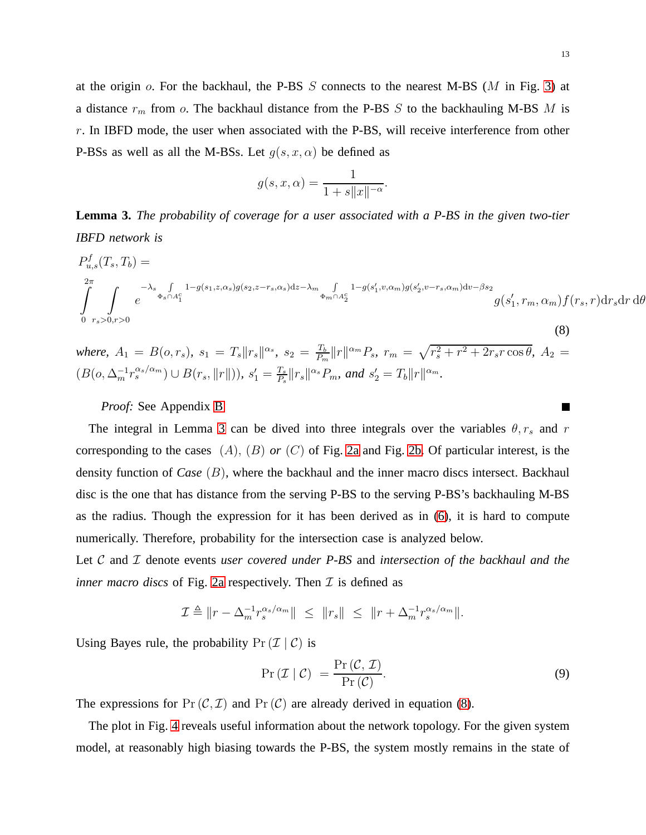at the origin  $\sigma$ . For the backhaul, the P-BS S connects to the nearest M-BS (M in Fig. [3\)](#page-11-0) at a distance  $r_m$  from  $o$ . The backhaul distance from the P-BS  $S$  to the backhauling M-BS  $M$  is  $r$ . In IBFD mode, the user when associated with the P-BS, will receive interference from other P-BSs as well as all the M-BSs. Let  $q(s, x, \alpha)$  be defined as

$$
g(s, x, \alpha) = \frac{1}{1 + s||x||^{-\alpha}}.
$$

**Lemma 3.** *The probability of coverage for a user associated with a P-BS in the given two-tier IBFD network is*

<span id="page-12-0"></span>
$$
P_{u,s}^{f}(T_s, T_b) =
$$
  
\n
$$
\int_{0}^{2\pi} \int_{r_s>0, r>0} e^{-\lambda_s \int_{0}^{r_s} 1 - g(s_1, z, \alpha_s)g(s_2, z - r_s, \alpha_s)dz - \lambda_m \int_{\Phi_m \cap A_2^c} 1 - g(s'_1, v, \alpha_m)g(s'_2, v - r_s, \alpha_m)dv - \beta s_2} g(s'_1, r_m, \alpha_m) f(r_s, r) dr_s dr d\theta
$$
\n(8)

*where,*  $A_1 = B(o, r_s)$ ,  $s_1 = T_s ||r_s||^{\alpha_s}$ ,  $s_2 = \frac{T_b}{P_s}$  $\frac{T_b}{P_m} ||r||^{\alpha_m} P_s$ ,  $r_m = \sqrt{r_s^2 + r^2 + 2r_s r \cos \theta}$ ,  $A_2 =$  $(B(o, \Delta_m^{-1}r_s^{\alpha_s/\alpha_m}) \cup B(r_s, \|r\|)), s'_1 = \frac{T_s}{P_s}$  $\frac{T_s}{P_s} \|r_s\|^{\alpha_s} P_m$ , and  $s_2' = T_b \|r\|^{\alpha_m}$ .

# *Proof:* See Appendix [B](#page-27-0)

The integral in Lemma [3](#page-12-0) can be dived into three integrals over the variables  $\theta$ ,  $r_s$  and r corresponding to the cases (A), (B) *or* (C) of Fig. [2a](#page-9-0) and Fig. [2b.](#page-10-0) Of particular interest, is the density function of *Case* (B), where the backhaul and the inner macro discs intersect. Backhaul disc is the one that has distance from the serving P-BS to the serving P-BS's backhauling M-BS as the radius. Though the expression for it has been derived as in [\(6\)](#page-10-1), it is hard to compute numerically. Therefore, probability for the intersection case is analyzed below.

Let C and *I* denote events *user covered under P-BS* and *intersection of the backhaul and the inner macro discs* of Fig. [2a](#page-9-0) respectively. Then  $\mathcal I$  is defined as

$$
\mathcal{I} \triangleq \|r - \Delta_m^{-1} r_s^{\alpha_s/\alpha_m}\| \leq \|r_s\| \leq \|r + \Delta_m^{-1} r_s^{\alpha_s/\alpha_m}\|.
$$

Using Bayes rule, the probability  $Pr(\mathcal{I} | \mathcal{C})$  is

$$
Pr(\mathcal{I} | \mathcal{C}) = \frac{Pr(\mathcal{C}, \mathcal{I})}{Pr(\mathcal{C})}.
$$
\n(9)

The expressions for  $Pr(\mathcal{C}, \mathcal{I})$  and  $Pr(\mathcal{C})$  are already derived in equation [\(8\)](#page-12-0).

The plot in Fig. [4](#page-13-0) reveals useful information about the network topology. For the given system model, at reasonably high biasing towards the P-BS, the system mostly remains in the state of

**In the Second State**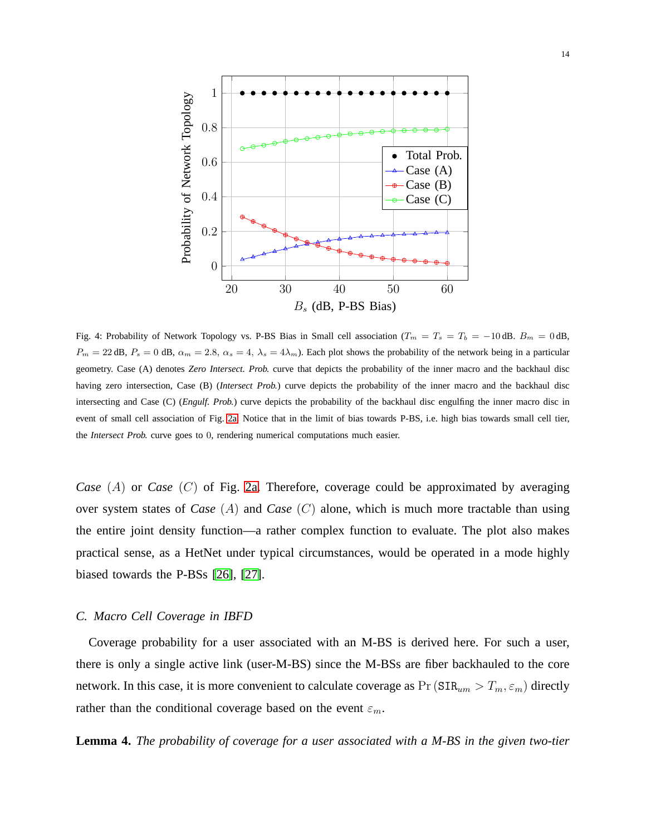<span id="page-13-0"></span>

Fig. 4: Probability of Network Topology vs. P-BS Bias in Small cell association ( $T_m = T_s = T_b = -10$  dB.  $B_m = 0$  dB,  $P_m = 22$  dB,  $P_s = 0$  dB,  $\alpha_m = 2.8$ ,  $\alpha_s = 4$ ,  $\lambda_s = 4\lambda_m$ ). Each plot shows the probability of the network being in a particular geometry. Case (A) denotes *Zero Intersect. Prob.* curve that depicts the probability of the inner macro and the backhaul disc having zero intersection, Case (B) (*Intersect Prob.*) curve depicts the probability of the inner macro and the backhaul disc intersecting and Case (C) (*Engulf. Prob.*) curve depicts the probability of the backhaul disc engulfing the inner macro disc in event of small cell association of Fig. [2a.](#page-9-0) Notice that in the limit of bias towards P-BS, i.e. high bias towards small cell tier, the *Intersect Prob.* curve goes to 0, rendering numerical computations much easier.

*Case* (A) or *Case* (C) of Fig. [2a.](#page-9-0) Therefore, coverage could be approximated by averaging over system states of *Case* (A) and *Case* (C) alone, which is much more tractable than using the entire joint density function—a rather complex function to evaluate. The plot also makes practical sense, as a HetNet under typical circumstances, would be operated in a mode highly biased towards the P-BSs [\[26\]](#page-25-5), [\[27\]](#page-25-6).

### *C. Macro Cell Coverage in IBFD*

Coverage probability for a user associated with an M-BS is derived here. For such a user, there is only a single active link (user-M-BS) since the M-BSs are fiber backhauled to the core network. In this case, it is more convenient to calculate coverage as  $Pr(SIR_{um} > T_m, \epsilon_m)$  directly rather than the conditional coverage based on the event  $\varepsilon_m$ .

**Lemma 4.** *The probability of coverage for a user associated with a M-BS in the given two-tier*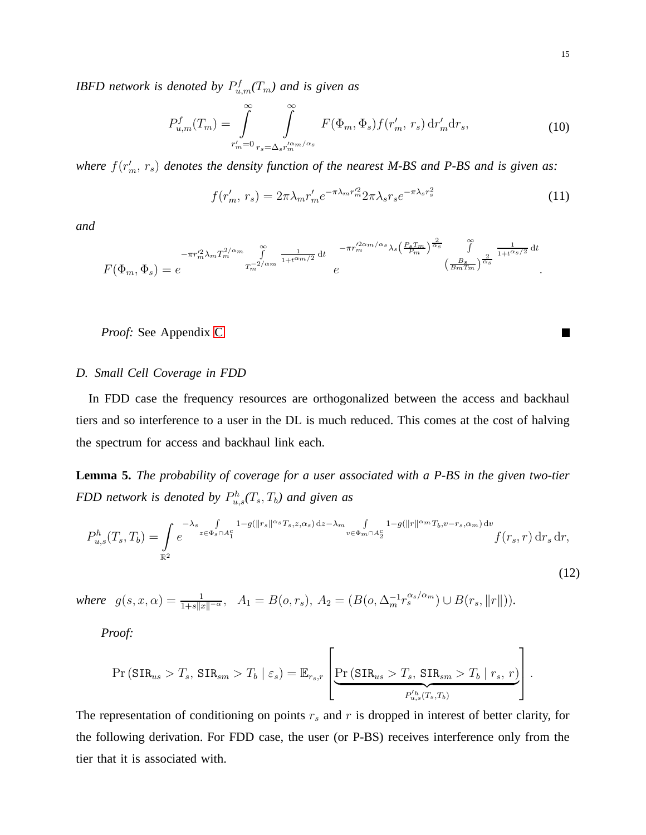*IBFD network is denoted by*  $P_{u,m}^f(T_m)$  *and is given as* 

<span id="page-14-2"></span>
$$
P_{u,m}^f(T_m) = \int_{r'_m=0}^{\infty} \int_{r_s = \Delta_s r_m'^{\alpha_m/\alpha_s}}^{\infty} F(\Phi_m, \Phi_s) f(r'_m, r_s) dr'_m dr_s,
$$
 (10)

where  $f(r'_m, r_s)$  denotes the density function of the nearest M-BS and P-BS and is given as:

<span id="page-14-1"></span>
$$
f(r'_m, r_s) = 2\pi \lambda_m r'_m e^{-\pi \lambda_m r'_m} 2\pi \lambda_s r_s e^{-\pi \lambda_s r_s^2}
$$
 (11)

*and*

$$
F(\Phi_m, \Phi_s) = e^{-\pi r_m'^2 \lambda_m T_m^{2/\alpha_m} \int_{T_m^{-2/\alpha_m}}^{\infty} \frac{1}{1+t^{\alpha_m/2}} dt \qquad \begin{array}{c} -\pi r_m'^{2\alpha_m/\alpha_s} \lambda_s \left(\frac{P_s T_m}{P_m}\right)^{\frac{2}{\alpha_s}} & \int_{T_m^{-2/\alpha_s}}^{\infty} \frac{1}{1+t^{\alpha_s/2}} dt \\ e & \left(\frac{B_s}{B_m T_m}\right)^{\frac{2}{\alpha_s}} \end{array}
$$

*Proof:* See Appendix [C](#page-28-0)

#### *D. Small Cell Coverage in FDD*

In FDD case the frequency resources are orthogonalized between the access and backhaul tiers and so interference to a user in the DL is much reduced. This comes at the cost of halving the spectrum for access and backhaul link each.

**Lemma 5.** *The probability of coverage for a user associated with a P-BS in the given two-tier FDD network is denoted by*  $P_{u,s}^h(T_s,T_b)$  and given as

$$
P_{u,s}^h(T_s,T_b) = \int\limits_{\mathbb{R}^2} e^{-\lambda_s \int\limits_{z \in \Phi_s \cap A_1^c} 1 - g(\|r_s\|^{\alpha_s} T_s,z,\alpha_s) dz - \lambda_m \int\limits_{v \in \Phi_m \cap A_2^c} 1 - g(\|r\|^{\alpha_m} T_b, v-r_s, \alpha_m) dv} f(r_s,r) dr_s dr,
$$

*where*  $g(s, x, \alpha) = \frac{1}{1+s||x||^{-\alpha}}, \quad A_1 = B(o, r_s), A_2 = (B(o, \Delta_m^{-1} r_s^{\alpha_s/\alpha_m}) \cup B(r_s, ||r||)).$ 

*Proof:*

$$
\Pr\left(\text{SIR}_{us} > T_s, \, \text{SIR}_{sm} > T_b \mid \varepsilon_s\right) = \mathbb{E}_{r_{s},r}\left[\underbrace{\Pr\left(\text{SIR}_{us} > T_s, \, \text{SIR}_{sm} > T_b \mid r_s, \, r\right)}_{P_{u,s}'(T_s,T_b)}\right].
$$

The representation of conditioning on points  $r<sub>s</sub>$  and r is dropped in interest of better clarity, for the following derivation. For FDD case, the user (or P-BS) receives interference only from the tier that it is associated with.

<span id="page-14-0"></span>(12)

П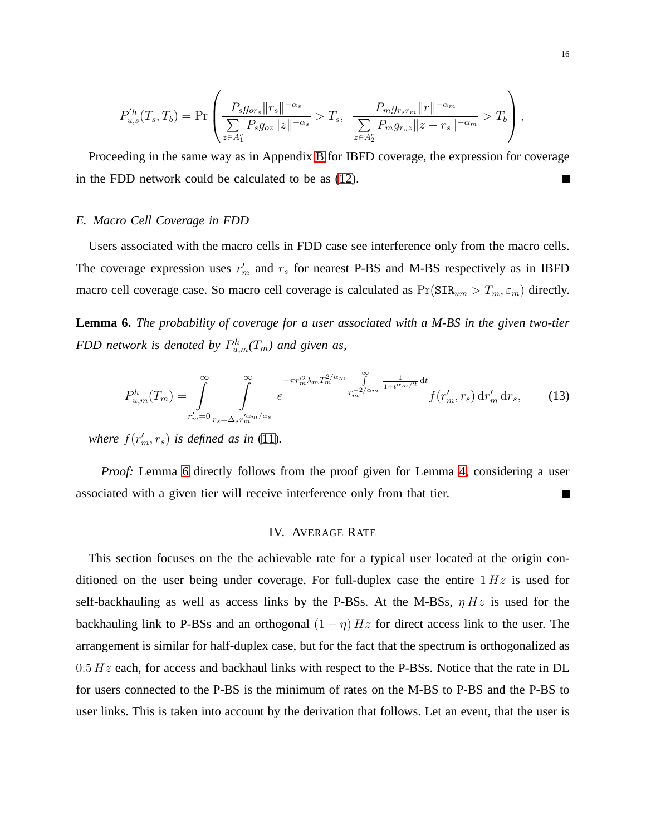$$
P_{u,s}'^h(T_s,T_b) = \Pr\left(\frac{P_s g_{or_s} ||r_s||^{-\alpha_s}}{\sum\limits_{z \in A_1^c} P_s g_{oz} ||z||^{-\alpha_s}} > T_s, \frac{P_m g_{r_s r_m} ||r||^{-\alpha_m}}{\sum\limits_{z \in A_2^c} P_m g_{r_s z} ||z - r_s||^{-\alpha_m}} > T_b\right),
$$

Proceeding in the same way as in Appendix [B](#page-27-0) for IBFD coverage, the expression for coverage in the FDD network could be calculated to be as [\(12\)](#page-14-0).  $\blacksquare$ 

# *E. Macro Cell Coverage in FDD*

Users associated with the macro cells in FDD case see interference only from the macro cells. The coverage expression uses  $r'_m$  and  $r_s$  for nearest P-BS and M-BS respectively as in IBFD macro cell coverage case. So macro cell coverage is calculated as  $Pr(SIR_{um} > T_m, \varepsilon_m)$  directly.

<span id="page-15-0"></span>**Lemma 6.** *The probability of coverage for a user associated with a M-BS in the given two-tier FDD network is denoted by*  $P_{u,m}^h(T_m)$  and given as,

$$
P_{u,m}^h(T_m) = \int_{r'_m=0}^{\infty} \int_{r_s = \Delta_s r_m'^{\alpha_m/\alpha_s}}^{r_m} e^{-\pi r_m'^2 \lambda_m T_m^{2/\alpha_m} \int_{T_m^{-2/\alpha_m}}^{\infty} \frac{1}{1 + t^{\alpha_m/2}} dt} f(r'_m, r_s) dr'_m dr_s, \qquad (13)
$$

where  $f(r'_m, r_s)$  *is defined as in* [\(11\)](#page-14-1).

*Proof:* Lemma [6](#page-15-0) directly follows from the proof given for Lemma [4,](#page-14-1) considering a user associated with a given tier will receive interference only from that tier.  $\Box$ 

#### IV. AVERAGE RATE

This section focuses on the the achievable rate for a typical user located at the origin conditioned on the user being under coverage. For full-duplex case the entire  $1 Hz$  is used for self-backhauling as well as access links by the P-BSs. At the M-BSs,  $\eta Hz$  is used for the backhauling link to P-BSs and an orthogonal  $(1 - \eta) Hz$  for direct access link to the user. The arrangement is similar for half-duplex case, but for the fact that the spectrum is orthogonalized as  $0.5 Hz$  each, for access and backhaul links with respect to the P-BSs. Notice that the rate in DL for users connected to the P-BS is the minimum of rates on the M-BS to P-BS and the P-BS to user links. This is taken into account by the derivation that follows. Let an event, that the user is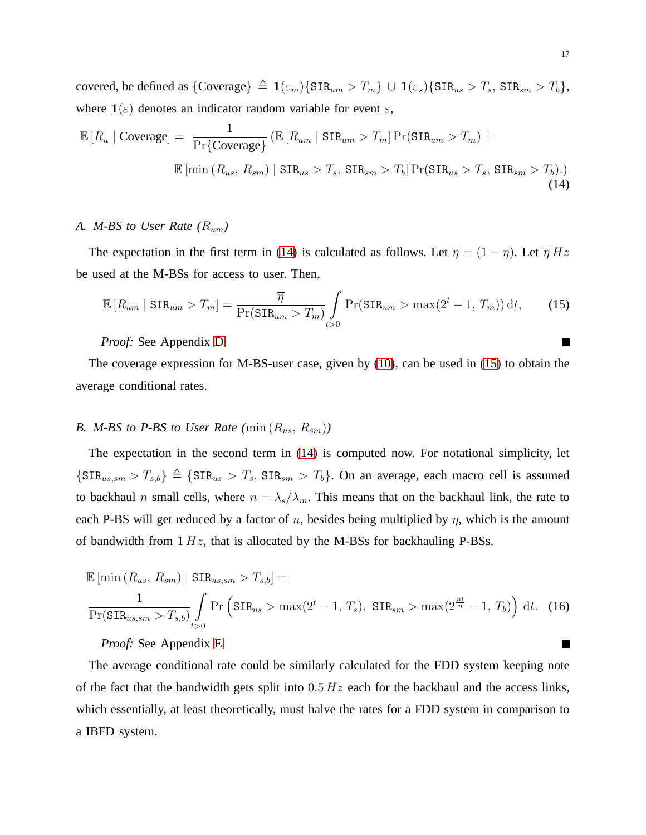covered, be defined as  $\{ \text{Coverage} \} \triangleq \mathbf{1}(\varepsilon_m) \{ \text{SIR}_{um} > T_m \} \cup \mathbf{1}(\varepsilon_s) \{ \text{SIR}_{us} > T_s, \, \text{SIR}_{sm} > T_b \},$ where  $\mathbf{1}(\varepsilon)$  denotes an indicator random variable for event  $\varepsilon$ ,

<span id="page-16-0"></span>
$$
\mathbb{E}\left[R_u \mid \text{Coverage}\right] = \frac{1}{\Pr\{\text{Coverage}\}} \left(\mathbb{E}\left[R_{um} \mid \text{SIR}_{um} > T_m\right] \Pr(\text{SIR}_{um} > T_m) + \mathbb{E}\left[\min\left(R_{us}, R_{sm}\right) \mid \text{SIR}_{us} > T_s, \text{SIR}_{sm} > T_b\right] \Pr(\text{SIR}_{us} > T_s, \text{SIR}_{sm} > T_b). \right) \tag{14}
$$

# *A. M-BS to User Rate (*Rum*)*

The expectation in the first term in [\(14\)](#page-16-0) is calculated as follows. Let  $\overline{\eta} = (1 - \eta)$ . Let  $\overline{\eta} Hz$ be used at the M-BSs for access to user. Then,

<span id="page-16-1"></span>
$$
\mathbb{E}\left[R_{um} \mid \text{SIR}_{um} > T_m\right] = \frac{\overline{\eta}}{\Pr(\text{SIR}_{um} > T_m)} \int\limits_{t > 0} \Pr(\text{SIR}_{um} > \max(2^t - 1, T_m)) \, \mathrm{d}t,\tag{15}
$$

# *Proof:* See Appendix [D](#page-29-0)

The coverage expression for M-BS-user case, given by [\(10\)](#page-14-2), can be used in [\(15\)](#page-16-1) to obtain the average conditional rates.

# *B. M-BS to P-BS to User Rate*  $(\min(R_{us}, R_{sm}))$

The expectation in the second term in [\(14\)](#page-16-0) is computed now. For notational simplicity, let  ${\{SIR_{us,sm} > T_{s,b}\}\triangleq {\{SIR_{us} > T_s, SIR_{sm} > T_b\}}.$  On an average, each macro cell is assumed to backhaul n small cells, where  $n = \lambda_s/\lambda_m$ . This means that on the backhaul link, the rate to each P-BS will get reduced by a factor of n, besides being multiplied by  $\eta$ , which is the amount of bandwidth from  $1 Hz$ , that is allocated by the M-BSs for backhauling P-BSs.

$$
\mathbb{E}\left[\min\left(R_{us}, R_{sm}\right) \mid \text{SIR}_{us,sm} > T_{s,b}\right] = \frac{1}{\Pr(\text{SIR}_{us,sm} > T_{s,b})} \int_{t>0} \Pr\left(\text{SIR}_{us} > \max(2^t - 1, T_s), \text{SIR}_{sm} > \max(2^{\frac{nt}{\eta}} - 1, T_b)\right) \, \mathrm{d}t. \tag{16}
$$

*Proof:* See Appendix [E](#page-30-0)

The average conditional rate could be similarly calculated for the FDD system keeping note of the fact that the bandwidth gets split into  $0.5 Hz$  each for the backhaul and the access links, which essentially, at least theoretically, must halve the rates for a FDD system in comparison to a IBFD system.

 $\Box$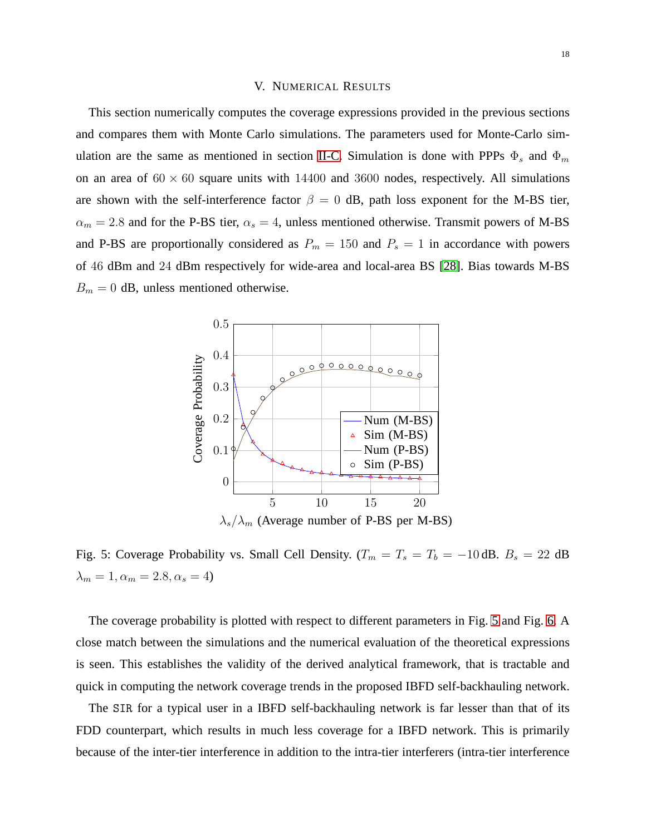#### V. NUMERICAL RESULTS

This section numerically computes the coverage expressions provided in the previous sections and compares them with Monte Carlo simulations. The parameters used for Monte-Carlo sim-ulation are the same as mentioned in section [II-C.](#page-5-1) Simulation is done with PPPs  $\Phi_s$  and  $\Phi_m$ on an area of  $60 \times 60$  square units with 14400 and 3600 nodes, respectively. All simulations are shown with the self-interference factor  $\beta = 0$  dB, path loss exponent for the M-BS tier,  $\alpha_m = 2.8$  and for the P-BS tier,  $\alpha_s = 4$ , unless mentioned otherwise. Transmit powers of M-BS and P-BS are proportionally considered as  $P_m = 150$  and  $P_s = 1$  in accordance with powers of 46 dBm and 24 dBm respectively for wide-area and local-area BS [\[28\]](#page-25-7). Bias towards M-BS  $B_m = 0$  dB, unless mentioned otherwise.

<span id="page-17-0"></span>

Fig. 5: Coverage Probability vs. Small Cell Density. ( $T_m = T_s = T_b = -10$  dB.  $B_s = 22$  dB  $\lambda_m = 1, \alpha_m = 2.8, \alpha_s = 4$ 

The coverage probability is plotted with respect to different parameters in Fig. [5](#page-17-0) and Fig. [6.](#page-18-0) A close match between the simulations and the numerical evaluation of the theoretical expressions is seen. This establishes the validity of the derived analytical framework, that is tractable and quick in computing the network coverage trends in the proposed IBFD self-backhauling network.

The SIR for a typical user in a IBFD self-backhauling network is far lesser than that of its FDD counterpart, which results in much less coverage for a IBFD network. This is primarily because of the inter-tier interference in addition to the intra-tier interferers (intra-tier interference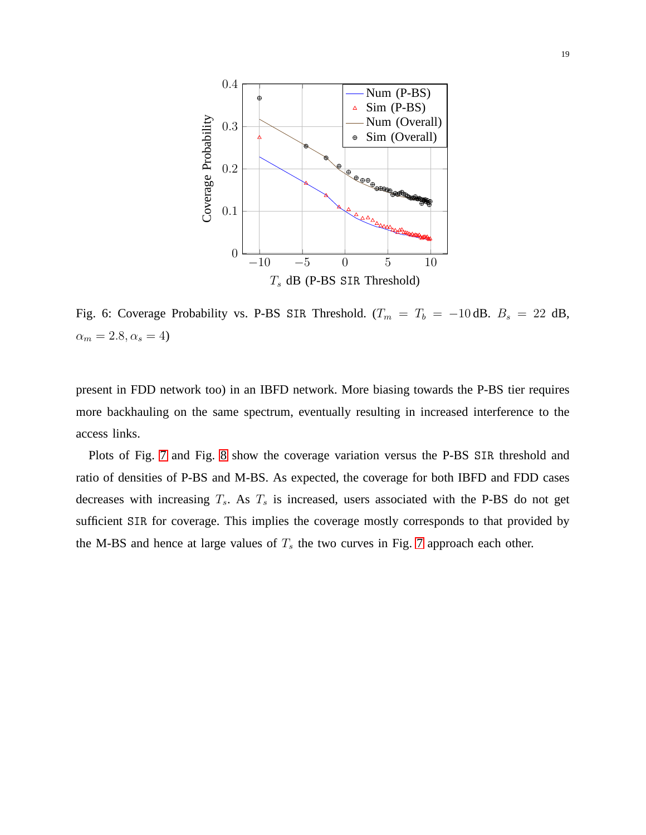<span id="page-18-0"></span>

Fig. 6: Coverage Probability vs. P-BS SIR Threshold.  $(T_m = T_b = -10 \text{ dB}$ .  $B_s = 22 \text{ dB}$ ,  $\alpha_m = 2.8, \alpha_s = 4$ 

present in FDD network too) in an IBFD network. More biasing towards the P-BS tier requires more backhauling on the same spectrum, eventually resulting in increased interference to the access links.

Plots of Fig. [7](#page-19-0) and Fig. [8](#page-19-1) show the coverage variation versus the P-BS SIR threshold and ratio of densities of P-BS and M-BS. As expected, the coverage for both IBFD and FDD cases decreases with increasing  $T_s$ . As  $T_s$  is increased, users associated with the P-BS do not get sufficient SIR for coverage. This implies the coverage mostly corresponds to that provided by the M-BS and hence at large values of  $T<sub>s</sub>$  the two curves in Fig. [7](#page-19-0) approach each other.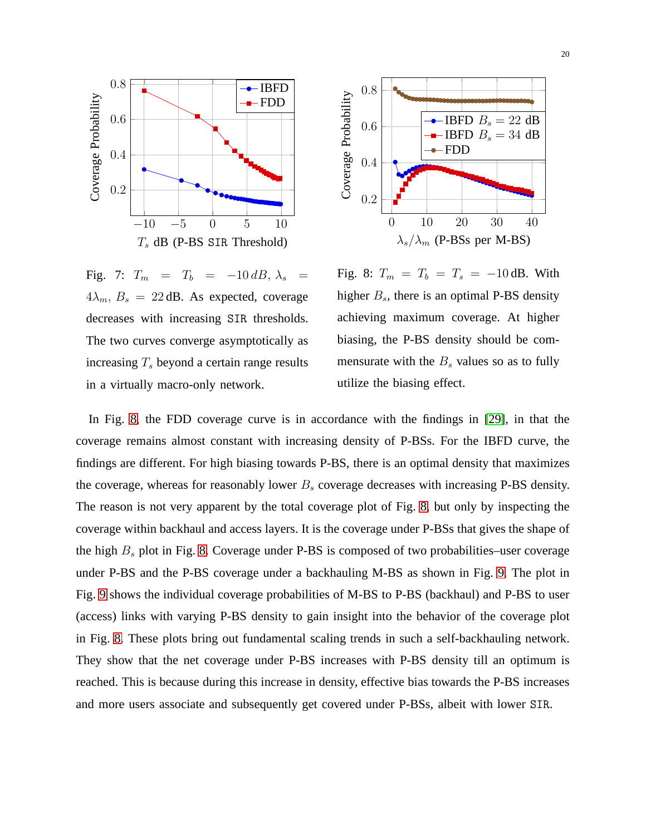



<span id="page-19-0"></span>Fig. 7:  $T_m = T_b = -10 \, dB, \lambda_s =$  $4\lambda_m$ ,  $B_s = 22$  dB. As expected, coverage decreases with increasing SIR thresholds. The two curves converge asymptotically as increasing  $T<sub>s</sub>$  beyond a certain range results in a virtually macro-only network.

<span id="page-19-1"></span>Fig. 8:  $T_m = T_b = T_s = -10$  dB. With higher  $B_s$ , there is an optimal P-BS density achieving maximum coverage. At higher biasing, the P-BS density should be commensurate with the  $B_s$  values so as to fully utilize the biasing effect.

In Fig. [8,](#page-19-1) the FDD coverage curve is in accordance with the findings in [\[29\]](#page-25-8), in that the coverage remains almost constant with increasing density of P-BSs. For the IBFD curve, the findings are different. For high biasing towards P-BS, there is an optimal density that maximizes the coverage, whereas for reasonably lower  $B<sub>s</sub>$  coverage decreases with increasing P-BS density. The reason is not very apparent by the total coverage plot of Fig. [8,](#page-19-1) but only by inspecting the coverage within backhaul and access layers. It is the coverage under P-BSs that gives the shape of the high  $B_s$  plot in Fig. [8.](#page-19-1) Coverage under P-BS is composed of two probabilities–user coverage under P-BS and the P-BS coverage under a backhauling M-BS as shown in Fig. [9.](#page-20-0) The plot in Fig. [9](#page-20-0) shows the individual coverage probabilities of M-BS to P-BS (backhaul) and P-BS to user (access) links with varying P-BS density to gain insight into the behavior of the coverage plot in Fig. [8.](#page-19-1) These plots bring out fundamental scaling trends in such a self-backhauling network. They show that the net coverage under P-BS increases with P-BS density till an optimum is reached. This is because during this increase in density, effective bias towards the P-BS increases and more users associate and subsequently get covered under P-BSs, albeit with lower SIR.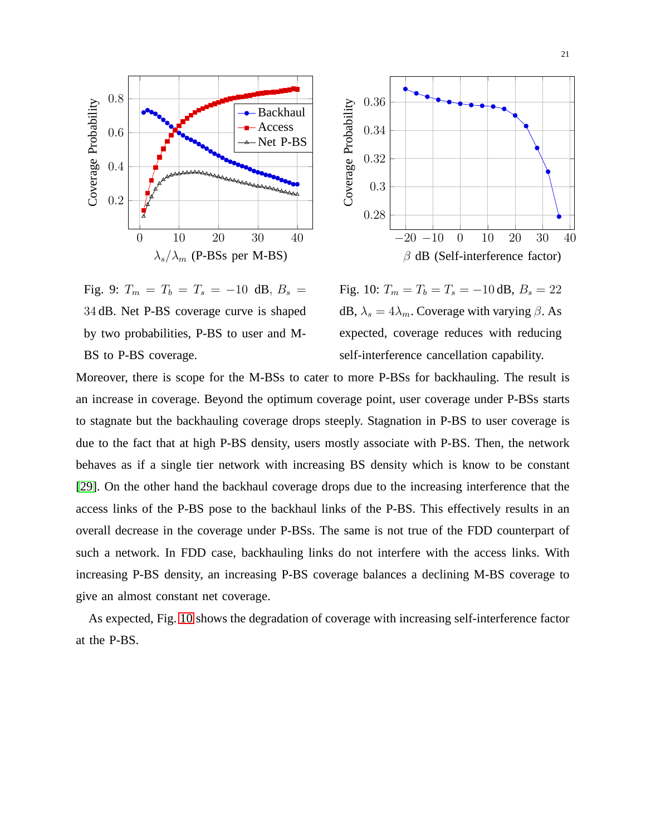

<span id="page-20-0"></span>Fig. 9:  $T_m = T_b = T_s = -10$  dB,  $B_s =$ 34 dB. Net P-BS coverage curve is shaped by two probabilities, P-BS to user and M-BS to P-BS coverage.



<span id="page-20-1"></span>Fig. 10:  $T_m = T_b = T_s = -10$  dB,  $B_s = 22$ dB,  $\lambda_s = 4\lambda_m$ . Coverage with varying  $\beta$ . As expected, coverage reduces with reducing self-interference cancellation capability.

Moreover, there is scope for the M-BSs to cater to more P-BSs for backhauling. The result is an increase in coverage. Beyond the optimum coverage point, user coverage under P-BSs starts to stagnate but the backhauling coverage drops steeply. Stagnation in P-BS to user coverage is due to the fact that at high P-BS density, users mostly associate with P-BS. Then, the network behaves as if a single tier network with increasing BS density which is know to be constant [\[29\]](#page-25-8). On the other hand the backhaul coverage drops due to the increasing interference that the access links of the P-BS pose to the backhaul links of the P-BS. This effectively results in an overall decrease in the coverage under P-BSs. The same is not true of the FDD counterpart of such a network. In FDD case, backhauling links do not interfere with the access links. With increasing P-BS density, an increasing P-BS coverage balances a declining M-BS coverage to give an almost constant net coverage.

As expected, Fig. [10](#page-20-1) shows the degradation of coverage with increasing self-interference factor at the P-BS.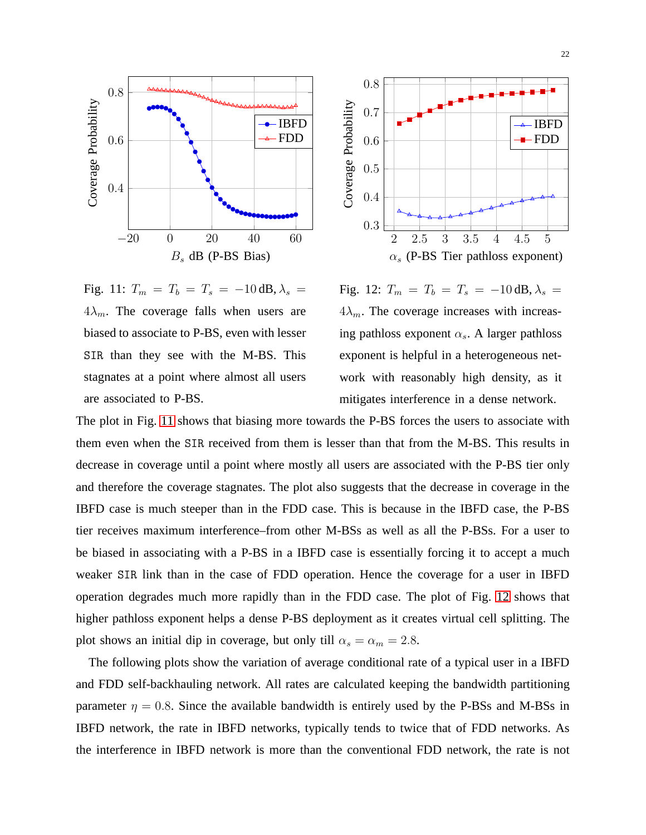



<span id="page-21-0"></span>Fig. 11:  $T_m = T_b = T_s = -10 \text{ dB}, \lambda_s =$  $4\lambda_m$ . The coverage falls when users are biased to associate to P-BS, even with lesser SIR than they see with the M-BS. This stagnates at a point where almost all users are associated to P-BS.

<span id="page-21-1"></span>Fig. 12:  $T_m = T_b = T_s = -10 \text{ dB}, \lambda_s =$  $4\lambda_m$ . The coverage increases with increasing pathloss exponent  $\alpha_s$ . A larger pathloss exponent is helpful in a heterogeneous network with reasonably high density, as it mitigates interference in a dense network.

The plot in Fig. [11](#page-21-0) shows that biasing more towards the P-BS forces the users to associate with them even when the SIR received from them is lesser than that from the M-BS. This results in decrease in coverage until a point where mostly all users are associated with the P-BS tier only and therefore the coverage stagnates. The plot also suggests that the decrease in coverage in the IBFD case is much steeper than in the FDD case. This is because in the IBFD case, the P-BS tier receives maximum interference–from other M-BSs as well as all the P-BSs. For a user to be biased in associating with a P-BS in a IBFD case is essentially forcing it to accept a much weaker SIR link than in the case of FDD operation. Hence the coverage for a user in IBFD operation degrades much more rapidly than in the FDD case. The plot of Fig. [12](#page-21-1) shows that higher pathloss exponent helps a dense P-BS deployment as it creates virtual cell splitting. The plot shows an initial dip in coverage, but only till  $\alpha_s = \alpha_m = 2.8$ .

The following plots show the variation of average conditional rate of a typical user in a IBFD and FDD self-backhauling network. All rates are calculated keeping the bandwidth partitioning parameter  $\eta = 0.8$ . Since the available bandwidth is entirely used by the P-BSs and M-BSs in IBFD network, the rate in IBFD networks, typically tends to twice that of FDD networks. As the interference in IBFD network is more than the conventional FDD network, the rate is not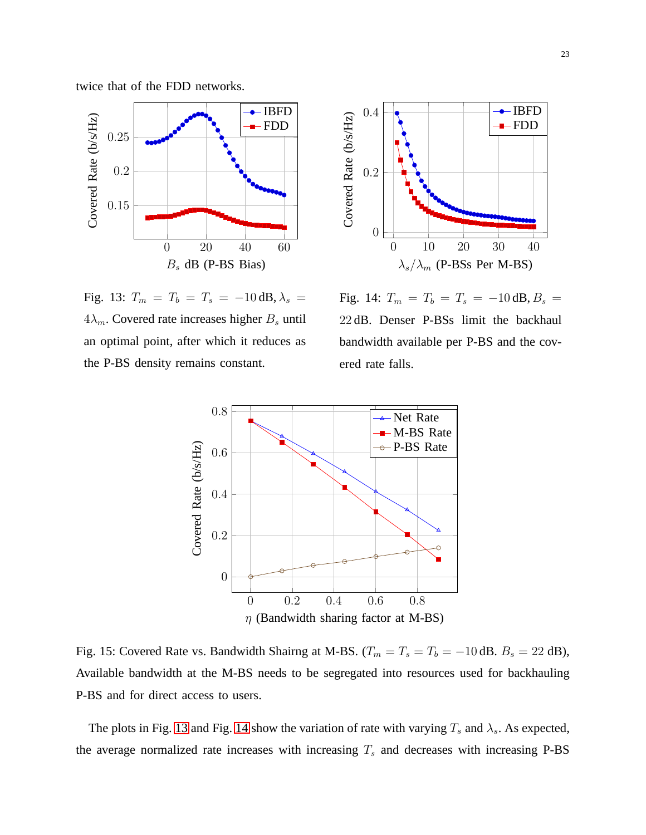

 $-IBFD$ 0.4 Covered Rate (b/s/Hz) Covered Rate (b/s/Hz) FDD 0.2 0 0 10 20 30 40  $\lambda_s/\lambda_m$  (P-BSs Per M-BS)

<span id="page-22-0"></span>Fig. 13:  $T_m = T_b = T_s = -10 \text{ dB}, \lambda_s =$  $4\lambda_m$ . Covered rate increases higher  $B_s$  until an optimal point, after which it reduces as the P-BS density remains constant.

<span id="page-22-1"></span>Fig. 14:  $T_m = T_b = T_s = -10 \text{ dB}, B_s =$ 22 dB. Denser P-BSs limit the backhaul bandwidth available per P-BS and the covered rate falls.



Fig. 15: Covered Rate vs. Bandwidth Shairng at M-BS.  $(T_m = T_s = T_b = -10$  dB.  $B_s = 22$  dB), Available bandwidth at the M-BS needs to be segregated into resources used for backhauling P-BS and for direct access to users.

The plots in Fig. [13](#page-22-0) and Fig. [14](#page-22-1) show the variation of rate with varying  $T_s$  and  $\lambda_s$ . As expected, the average normalized rate increases with increasing  $T_s$  and decreases with increasing P-BS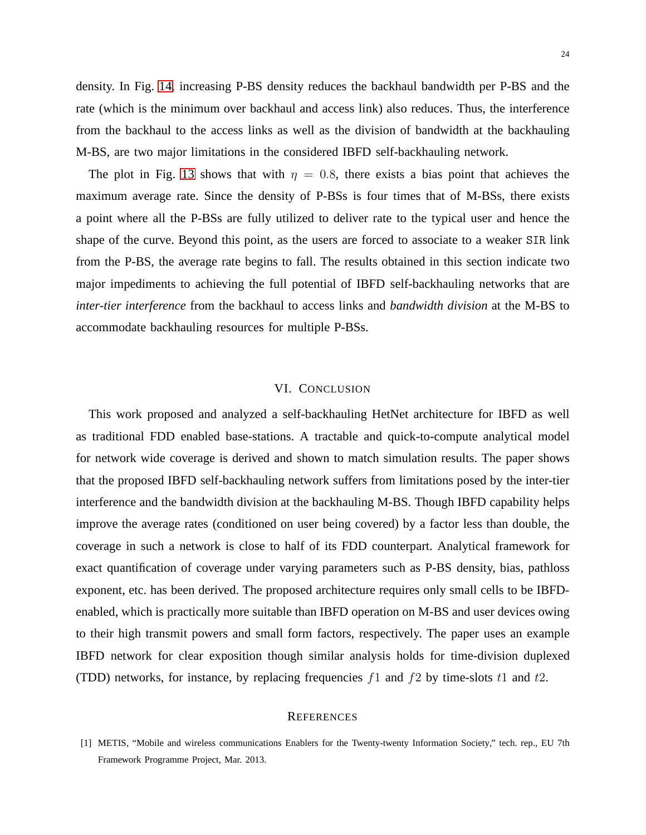density. In Fig. [14,](#page-22-1) increasing P-BS density reduces the backhaul bandwidth per P-BS and the rate (which is the minimum over backhaul and access link) also reduces. Thus, the interference from the backhaul to the access links as well as the division of bandwidth at the backhauling M-BS, are two major limitations in the considered IBFD self-backhauling network.

The plot in Fig. [13](#page-22-0) shows that with  $\eta = 0.8$ , there exists a bias point that achieves the maximum average rate. Since the density of P-BSs is four times that of M-BSs, there exists a point where all the P-BSs are fully utilized to deliver rate to the typical user and hence the shape of the curve. Beyond this point, as the users are forced to associate to a weaker SIR link from the P-BS, the average rate begins to fall. The results obtained in this section indicate two major impediments to achieving the full potential of IBFD self-backhauling networks that are *inter-tier interference* from the backhaul to access links and *bandwidth division* at the M-BS to accommodate backhauling resources for multiple P-BSs.

# VI. CONCLUSION

This work proposed and analyzed a self-backhauling HetNet architecture for IBFD as well as traditional FDD enabled base-stations. A tractable and quick-to-compute analytical model for network wide coverage is derived and shown to match simulation results. The paper shows that the proposed IBFD self-backhauling network suffers from limitations posed by the inter-tier interference and the bandwidth division at the backhauling M-BS. Though IBFD capability helps improve the average rates (conditioned on user being covered) by a factor less than double, the coverage in such a network is close to half of its FDD counterpart. Analytical framework for exact quantification of coverage under varying parameters such as P-BS density, bias, pathloss exponent, etc. has been derived. The proposed architecture requires only small cells to be IBFDenabled, which is practically more suitable than IBFD operation on M-BS and user devices owing to their high transmit powers and small form factors, respectively. The paper uses an example IBFD network for clear exposition though similar analysis holds for time-division duplexed (TDD) networks, for instance, by replacing frequencies  $f1$  and  $f2$  by time-slots  $t1$  and  $t2$ .

#### **REFERENCES**

<span id="page-23-0"></span><sup>[1]</sup> METIS, "Mobile and wireless communications Enablers for the Twenty-twenty Information Society," tech. rep., EU 7th Framework Programme Project, Mar. 2013.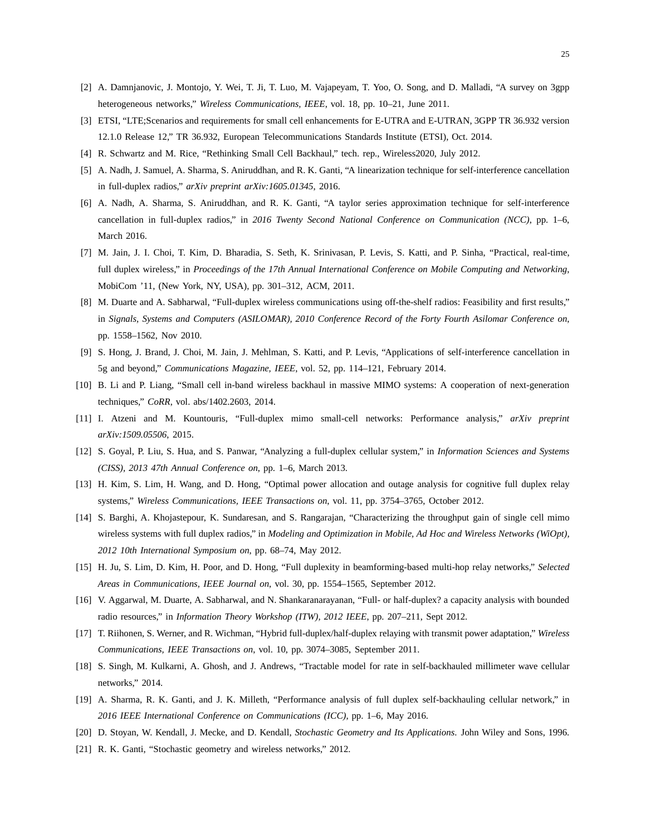- <span id="page-24-1"></span><span id="page-24-0"></span>[2] A. Damnjanovic, J. Montojo, Y. Wei, T. Ji, T. Luo, M. Vajapeyam, T. Yoo, O. Song, and D. Malladi, "A survey on 3gpp heterogeneous networks," *Wireless Communications, IEEE*, vol. 18, pp. 10–21, June 2011.
- <span id="page-24-2"></span>[3] ETSI, "LTE;Scenarios and requirements for small cell enhancements for E-UTRA and E-UTRAN, 3GPP TR 36.932 version 12.1.0 Release 12," TR 36.932, European Telecommunications Standards Institute (ETSI), Oct. 2014.
- <span id="page-24-3"></span>[4] R. Schwartz and M. Rice, "Rethinking Small Cell Backhaul," tech. rep., Wireless2020, July 2012.
- <span id="page-24-4"></span>[5] A. Nadh, J. Samuel, A. Sharma, S. Aniruddhan, and R. K. Ganti, "A linearization technique for self-interference cancellation in full-duplex radios," *arXiv preprint arXiv:1605.01345*, 2016.
- [6] A. Nadh, A. Sharma, S. Aniruddhan, and R. K. Ganti, "A taylor series approximation technique for self-interference cancellation in full-duplex radios," in *2016 Twenty Second National Conference on Communication (NCC)*, pp. 1–6, March 2016.
- <span id="page-24-5"></span>[7] M. Jain, J. I. Choi, T. Kim, D. Bharadia, S. Seth, K. Srinivasan, P. Levis, S. Katti, and P. Sinha, "Practical, real-time, full duplex wireless," in *Proceedings of the 17th Annual International Conference on Mobile Computing and Networking*, MobiCom '11, (New York, NY, USA), pp. 301–312, ACM, 2011.
- <span id="page-24-6"></span>[8] M. Duarte and A. Sabharwal, "Full-duplex wireless communications using off-the-shelf radios: Feasibility and first results," in *Signals, Systems and Computers (ASILOMAR), 2010 Conference Record of the Forty Fourth Asilomar Conference on*, pp. 1558–1562, Nov 2010.
- <span id="page-24-8"></span><span id="page-24-7"></span>[9] S. Hong, J. Brand, J. Choi, M. Jain, J. Mehlman, S. Katti, and P. Levis, "Applications of self-interference cancellation in 5g and beyond," *Communications Magazine, IEEE*, vol. 52, pp. 114–121, February 2014.
- <span id="page-24-9"></span>[10] B. Li and P. Liang, "Small cell in-band wireless backhaul in massive MIMO systems: A cooperation of next-generation techniques," *CoRR*, vol. abs/1402.2603, 2014.
- <span id="page-24-10"></span>[11] I. Atzeni and M. Kountouris, "Full-duplex mimo small-cell networks: Performance analysis," *arXiv preprint arXiv:1509.05506*, 2015.
- <span id="page-24-11"></span>[12] S. Goyal, P. Liu, S. Hua, and S. Panwar, "Analyzing a full-duplex cellular system," in *Information Sciences and Systems (CISS), 2013 47th Annual Conference on*, pp. 1–6, March 2013.
- <span id="page-24-12"></span>[13] H. Kim, S. Lim, H. Wang, and D. Hong, "Optimal power allocation and outage analysis for cognitive full duplex relay systems," *Wireless Communications, IEEE Transactions on*, vol. 11, pp. 3754–3765, October 2012.
- [14] S. Barghi, A. Khojastepour, K. Sundaresan, and S. Rangarajan, "Characterizing the throughput gain of single cell mimo wireless systems with full duplex radios," in *Modeling and Optimization in Mobile, Ad Hoc and Wireless Networks (WiOpt), 2012 10th International Symposium on*, pp. 68–74, May 2012.
- <span id="page-24-14"></span><span id="page-24-13"></span>[15] H. Ju, S. Lim, D. Kim, H. Poor, and D. Hong, "Full duplexity in beamforming-based multi-hop relay networks," *Selected Areas in Communications, IEEE Journal on*, vol. 30, pp. 1554–1565, September 2012.
- <span id="page-24-15"></span>[16] V. Aggarwal, M. Duarte, A. Sabharwal, and N. Shankaranarayanan, "Full- or half-duplex? a capacity analysis with bounded radio resources," in *Information Theory Workshop (ITW), 2012 IEEE*, pp. 207–211, Sept 2012.
- <span id="page-24-16"></span>[17] T. Riihonen, S. Werner, and R. Wichman, "Hybrid full-duplex/half-duplex relaying with transmit power adaptation," *Wireless Communications, IEEE Transactions on*, vol. 10, pp. 3074–3085, September 2011.
- <span id="page-24-17"></span>[18] S. Singh, M. Kulkarni, A. Ghosh, and J. Andrews, "Tractable model for rate in self-backhauled millimeter wave cellular networks," 2014.
- <span id="page-24-18"></span>[19] A. Sharma, R. K. Ganti, and J. K. Milleth, "Performance analysis of full duplex self-backhauling cellular network," in *2016 IEEE International Conference on Communications (ICC)*, pp. 1–6, May 2016.
- <span id="page-24-19"></span>[20] D. Stoyan, W. Kendall, J. Mecke, and D. Kendall, *Stochastic Geometry and Its Applications*. John Wiley and Sons, 1996.
- [21] R. K. Ganti, "Stochastic geometry and wireless networks," 2012.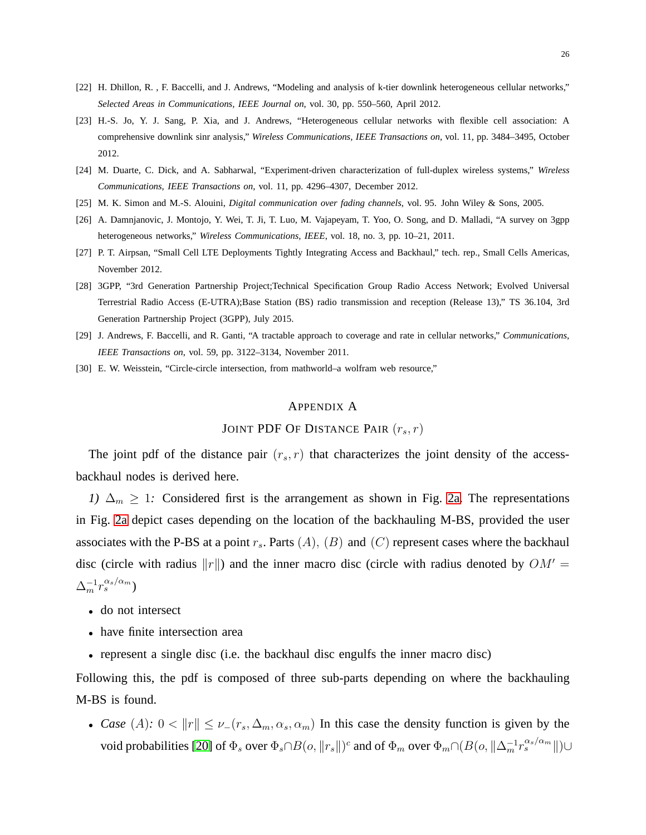- <span id="page-25-1"></span><span id="page-25-0"></span>[22] H. Dhillon, R. , F. Baccelli, and J. Andrews, "Modeling and analysis of k-tier downlink heterogeneous cellular networks," *Selected Areas in Communications, IEEE Journal on*, vol. 30, pp. 550–560, April 2012.
- [23] H.-S. Jo, Y. J. Sang, P. Xia, and J. Andrews, "Heterogeneous cellular networks with flexible cell association: A comprehensive downlink sinr analysis," *Wireless Communications, IEEE Transactions on*, vol. 11, pp. 3484–3495, October 2012.
- <span id="page-25-3"></span><span id="page-25-2"></span>[24] M. Duarte, C. Dick, and A. Sabharwal, "Experiment-driven characterization of full-duplex wireless systems," *Wireless Communications, IEEE Transactions on*, vol. 11, pp. 4296–4307, December 2012.
- <span id="page-25-5"></span>[25] M. K. Simon and M.-S. Alouini, *Digital communication over fading channels*, vol. 95. John Wiley & Sons, 2005.
- <span id="page-25-6"></span>[26] A. Damnjanovic, J. Montojo, Y. Wei, T. Ji, T. Luo, M. Vajapeyam, T. Yoo, O. Song, and D. Malladi, "A survey on 3gpp heterogeneous networks," *Wireless Communications, IEEE*, vol. 18, no. 3, pp. 10–21, 2011.
- <span id="page-25-7"></span>[27] P. T. Airpsan, "Small Cell LTE Deployments Tightly Integrating Access and Backhaul," tech. rep., Small Cells Americas, November 2012.
- [28] 3GPP, "3rd Generation Partnership Project;Technical Specification Group Radio Access Network; Evolved Universal Terrestrial Radio Access (E-UTRA);Base Station (BS) radio transmission and reception (Release 13)," TS 36.104, 3rd Generation Partnership Project (3GPP), July 2015.
- <span id="page-25-9"></span><span id="page-25-8"></span>[29] J. Andrews, F. Baccelli, and R. Ganti, "A tractable approach to coverage and rate in cellular networks," *Communications, IEEE Transactions on*, vol. 59, pp. 3122–3134, November 2011.
- [30] E. W. Weisstein, "Circle-circle intersection, from mathworld–a wolfram web resource,"

### <span id="page-25-4"></span>APPENDIX A

# JOINT PDF OF DISTANCE PAIR  $(r_s, r)$

The joint pdf of the distance pair  $(r_s, r)$  that characterizes the joint density of the accessbackhaul nodes is derived here.

*1)*  $\Delta_m \geq 1$ : Considered first is the arrangement as shown in Fig. [2a.](#page-9-0) The representations in Fig. [2a](#page-9-0) depict cases depending on the location of the backhauling M-BS, provided the user associates with the P-BS at a point  $r_s$ . Parts  $(A)$ ,  $(B)$  and  $(C)$  represent cases where the backhaul disc (circle with radius  $||r||$ ) and the inner macro disc (circle with radius denoted by  $OM' =$  $\Delta_m^{-1} r_s^{\alpha_s/\alpha_m})$ 

- do not intersect
- have finite intersection area
- represent a single disc (i.e. the backhaul disc engulfs the inner macro disc)

Following this, the pdf is composed of three sub-parts depending on where the backhauling M-BS is found.

• *Case* (A):  $0 < ||r|| \leq \nu_{-}(r_s, \Delta_m, \alpha_s, \alpha_m)$  In this case the density function is given by the void probabilities [\[20\]](#page-24-18) of  $\Phi_s$  over  $\Phi_s\cap B(o, \|r_s\|)^c$  and of  $\Phi_m$  over  $\Phi_m\cap (B(o, \|\Delta_m^{-1}r_s^{\alpha_s/\alpha_m}\|)\cup$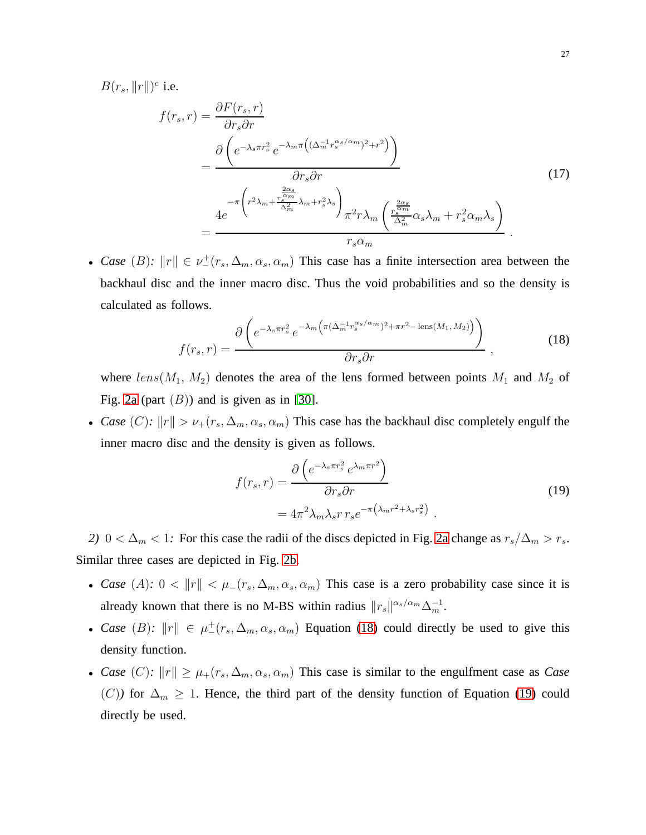$B(r_s, ||r||)^c$  i.e.

$$
f(r_s, r) = \frac{\partial F(r_s, r)}{\partial r_s \partial r}
$$
  
= 
$$
\frac{\partial \left(e^{-\lambda_s \pi r_s^2} e^{-\lambda_m \pi \left((\Delta_m^{-1} r_s^{\alpha_s/\alpha_m})^2 + r^2\right)}\right)}{\partial r_s \partial r}
$$
  
= 
$$
\frac{4e^{-\pi \left(r^2 \lambda_m + \frac{r_s^{\alpha_m}}{\Delta_m^2} \lambda_m + r_s^2 \lambda_s\right)} \pi^2 r \lambda_m \left(\frac{r_s^{\frac{2\alpha_s}{\alpha_m}}}{\Delta_m^2} \alpha_s \lambda_m + r_s^2 \alpha_m \lambda_s\right)}{r_s \alpha_m}
$$
 (17)

• *Case* (B):  $||r|| \in \nu^+(r_s, \Delta_m, \alpha_s, \alpha_m)$  This case has a finite intersection area between the backhaul disc and the inner macro disc. Thus the void probabilities and so the density is calculated as follows.

<span id="page-26-0"></span>
$$
f(r_s, r) = \frac{\partial \left(e^{-\lambda_s \pi r_s^2} e^{-\lambda_m \left(\pi (\Delta_m^{-1} r_s^{\alpha_s/\alpha_m})^2 + \pi r^2 - \text{lens}(M_1, M_2)\right)}\right)}{\partial r_s \partial r}, \qquad (18)
$$

where  $lens(M_1, M_2)$  denotes the area of the lens formed between points  $M_1$  and  $M_2$  of Fig. [2a](#page-9-0) (part  $(B)$ ) and is given as in [\[30\]](#page-25-9).

• *Case* (*C*):  $||r|| > \nu_+(r_s, \Delta_m, \alpha_s, \alpha_m)$  This case has the backhaul disc completely engulf the inner macro disc and the density is given as follows.

<span id="page-26-1"></span>
$$
f(r_s, r) = \frac{\partial \left(e^{-\lambda_s \pi r_s^2} e^{\lambda_m \pi r^2}\right)}{\partial r_s \partial r}
$$
  
=  $4\pi^2 \lambda_m \lambda_s r r_s e^{-\pi \left(\lambda_m r^2 + \lambda_s r_s^2\right)}$ . (19)

*2)* 0 <  $\Delta_m$  < 1*:* For this case the radii of the discs depicted in Fig. [2a](#page-9-0) change as  $r_s/\Delta_m > r_s$ . Similar three cases are depicted in Fig. [2b.](#page-10-0)

- *Case* (A):  $0 < ||r|| < \mu_-(r_s, \Delta_m, \alpha_s, \alpha_m)$  This case is a zero probability case since it is already known that there is no M-BS within radius  $||r_s||^{\alpha_s/\alpha_m}\Delta_m^{-1}$ .
- *Case* (B):  $||r|| \in \mu^+(r_s, \Delta_m, \alpha_s, \alpha_m)$  Equation [\(18\)](#page-26-0) could directly be used to give this density function.
- *Case* (C):  $||r|| \ge \mu_+(r_s, \Delta_m, \alpha_s, \alpha_m)$  This case is similar to the engulfment case as *Case* (C)<sup>*f*</sup> for  $\Delta_m \geq 1$ . Hence, the third part of the density function of Equation [\(19\)](#page-26-1) could directly be used.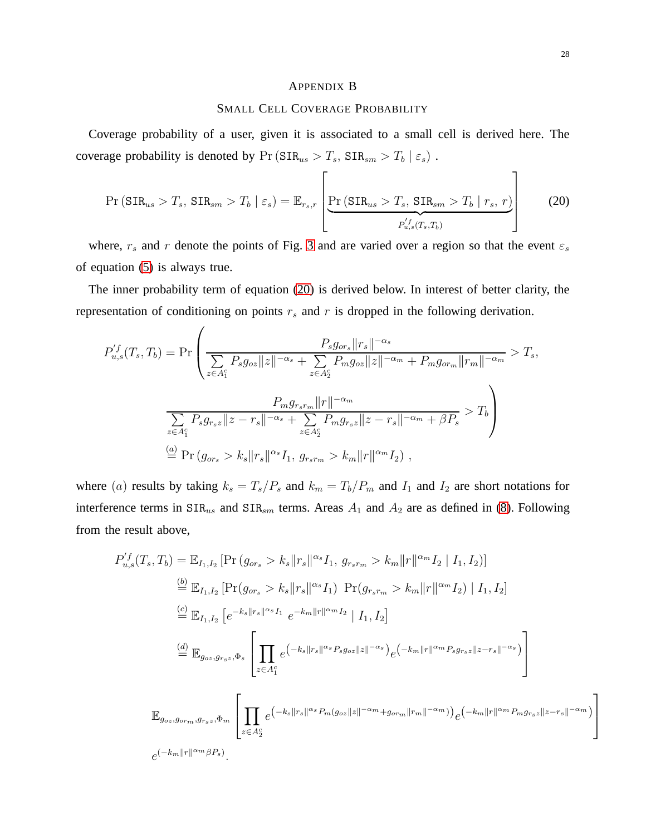#### <span id="page-27-0"></span>APPENDIX B

#### SMALL CELL COVERAGE PROBABILITY

Coverage probability of a user, given it is associated to a small cell is derived here. The coverage probability is denoted by  $Pr(SIR_{us} > T_s, SIR_{sm} > T_b | \varepsilon_s)$ .

<span id="page-27-1"></span>
$$
\Pr\left(\text{SIR}_{us} > T_s, \text{SIR}_{sm} > T_b \mid \varepsilon_s\right) = \mathbb{E}_{r_s,r} \left[ \underbrace{\Pr\left(\text{SIR}_{us} > T_s, \text{SIR}_{sm} > T_b \mid r_s, r\right)}_{P_{u,s}^{f}(T_s, T_b)} \right] \tag{20}
$$

where,  $r_s$  and r denote the points of Fig. [3](#page-11-0) and are varied over a region so that the event  $\varepsilon_s$ of equation [\(5\)](#page-8-0) is always true.

The inner probability term of equation [\(20\)](#page-27-1) is derived below. In interest of better clarity, the representation of conditioning on points  $r<sub>s</sub>$  and r is dropped in the following derivation.

 $\overline{1}$ 

$$
P_{u,s}^{'f}(T_s, T_b) = \Pr\left(\frac{P_s g_{or_s} ||r_s||^{-\alpha_s}}{\sum_{z \in A_1^c} P_s g_{oz} ||z||^{-\alpha_s} + \sum_{z \in A_2^c} P_m g_{oz} ||z||^{-\alpha_m} + P_m g_{or_m} ||r_m||^{-\alpha_m}} > T_s,
$$
  

$$
\frac{P_m g_{r_s r_m} ||r||^{-\alpha_m}}{\sum_{z \in A_1^c} P_s g_{r_s z} ||z - r_s||^{-\alpha_s} + \sum_{z \in A_2^c} P_m g_{r_s z} ||z - r_s||^{-\alpha_m} + \beta P_s} > T_b
$$
  

$$
\stackrel{(a)}{=} \Pr(g_{or_s} > k_s ||r_s||^{\alpha_s} I_1, g_{r_s r_m} > k_m ||r||^{\alpha_m} I_2),
$$

where (a) results by taking  $k_s = T_s/P_s$  and  $k_m = T_b/P_m$  and  $I_1$  and  $I_2$  are short notations for interference terms in  $\text{SIR}_{us}$  and  $\text{SIR}_{sm}$  terms. Areas  $A_1$  and  $A_2$  are as defined in [\(8\)](#page-12-0). Following from the result above,

$$
P_{u,s}'(T_s, T_b) = \mathbb{E}_{I_1, I_2} [\Pr(g_{or_s} > k_s || r_s ||^{\alpha_s} I_1, g_{r_s r_m} > k_m || r ||^{\alpha_m} I_2 | I_1, I_2)]
$$
\n
$$
\stackrel{\text{(b)}}{=} \mathbb{E}_{I_1, I_2} [\Pr(g_{or_s} > k_s || r_s ||^{\alpha_s} I_1) \Pr(g_{r_s r_m} > k_m || r ||^{\alpha_m} I_2) | I_1, I_2]
$$
\n
$$
\stackrel{\text{(c)}}{=} \mathbb{E}_{I_1, I_2} \left[ e^{-k_s ||r_s||^{\alpha_s} I_1} e^{-k_m ||r||^{\alpha_m} I_2} | I_1, I_2 \right]
$$
\n
$$
\stackrel{\text{(d)}}{=} \mathbb{E}_{g_{oz}, g_{r_s z}, \Phi_s} \left[ \prod_{z \in A_1^c} e^{-k_s ||r_s||^{\alpha_s} P_s g_{oz} ||z||^{-\alpha_s}} e^{-k_m ||r||^{\alpha_m} P_s g_{r_s z} ||z - r_s||^{-\alpha_s}} \right]
$$
\n
$$
\mathbb{E}_{\Phi_{z, z} \sim \Phi_s} [\prod_{z \in A_1^c} e^{-k_z ||r_s||^{\alpha_s} P_m (g_{oz} ||z||^{-\alpha_m} + g_{orm} ||r_m||^{-\alpha_m})} e^{-k_m ||r||^{\alpha_m} P_m g_{r_s z} ||z - r_s||^{-\alpha_m}}]
$$

1

 $\overline{1}$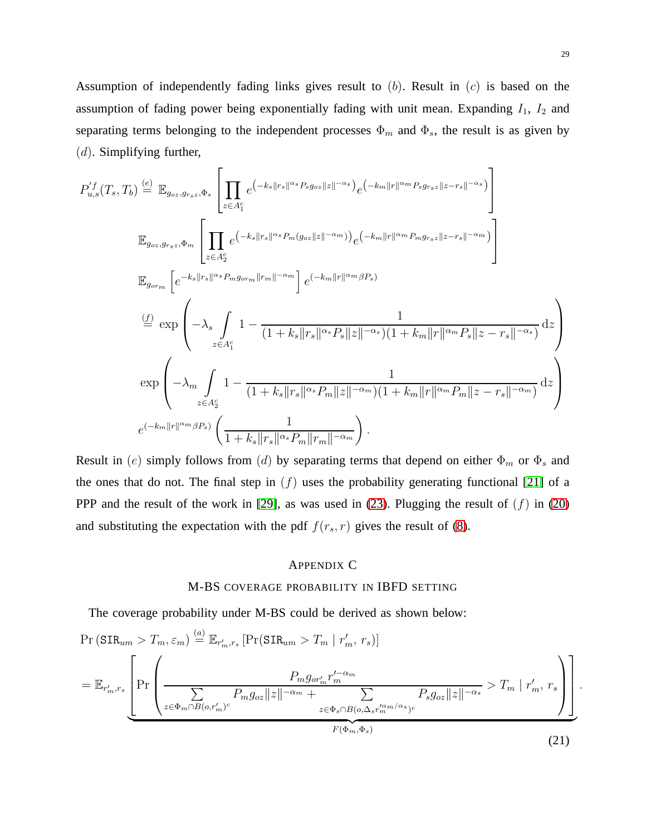Assumption of independently fading links gives result to  $(b)$ . Result in  $(c)$  is based on the assumption of fading power being exponentially fading with unit mean. Expanding  $I_1$ ,  $I_2$  and separating terms belonging to the independent processes  $\Phi_m$  and  $\Phi_s$ , the result is as given by  $(d)$ . Simplifying further,

$$
P_{u,s}^{f}(T_{s},T_{b}) \stackrel{(e)}{=} \mathbb{E}_{g_{oz},g_{rsz},\Phi_{s}} \left[ \prod_{z \in A_{1}^{c}} e^{\left(-k_{s}||r_{s}||\alpha_{s}P_{s}g_{oz}||z||-\alpha_{s}\right)} e^{\left(-k_{m}||r||\alpha_{m}P_{s}g_{rsz}||z-r_{s}||-\alpha_{s}\right)} \right]
$$
  
\n
$$
\mathbb{E}_{g_{oz},g_{rsz},\Phi_{m}} \left[ \prod_{z \in A_{2}^{c}} e^{\left(-k_{s}||r_{s}||\alpha_{s}P_{m}(g_{oz}||z||-\alpha_{m})\right)} e^{\left(-k_{m}||r||\alpha_{m}P_{m}g_{rsz}||z-r_{s}||-\alpha_{m}\right)} \right]
$$
  
\n
$$
\mathbb{E}_{g_{orm}} \left[ e^{-k_{s}||r_{s}||\alpha_{s}P_{m}g_{orm}||r_{m}||-\alpha_{m}} \right] e^{\left(-k_{m}||r||\alpha_{m}\beta_{r}\right)}
$$
  
\n
$$
\stackrel{(f)}{=} \exp \left( -\lambda_{s} \int_{z \in A_{1}^{c}} 1 - \frac{1}{(1+k_{s}||r_{s}||\alpha_{s}P_{s}||z||-\alpha_{s})(1+k_{m}||r||\alpha_{m}P_{s}||z-r_{s}||-\alpha_{s})} dz \right)
$$
  
\n
$$
\exp \left( -\lambda_{m} \int_{z \in A_{2}^{c}} 1 - \frac{1}{(1+k_{s}||r_{s}||\alpha_{s}P_{m}||z||-\alpha_{m})(1+k_{m}||r||\alpha_{m}P_{m}||z-r_{s}||-\alpha_{m})} dz \right)
$$
  
\n
$$
e^{\left(-k_{m}||r||\alpha_{m}\beta_{r}\right)} \left( \frac{1}{1+k_{s}||r_{s}||\alpha_{s}P_{m}||r_{m}||-\alpha_{m}} \right).
$$

Result in (e) simply follows from (d) by separating terms that depend on either  $\Phi_m$  or  $\Phi_s$  and the ones that do not. The final step in  $(f)$  uses the probability generating functional [\[21\]](#page-24-19) of a PPP and the result of the work in [\[29\]](#page-25-8), as was used in [\(23\)](#page-29-1). Plugging the result of  $(f)$  in [\(20\)](#page-27-1) and substituting the expectation with the pdf  $f(r_s, r)$  gives the result of [\(8\)](#page-12-0).

# <span id="page-28-0"></span>APPENDIX C

# M-BS COVERAGE PROBABILITY IN IBFD SETTING

The coverage probability under M-BS could be derived as shown below:

<span id="page-28-1"></span>
$$
\Pr\left(\text{SIR}_{um} > T_m, \varepsilon_m\right) \stackrel{(a)}{=} \mathbb{E}_{r'_m, r_s} \left[\Pr\left(\text{SIR}_{um} > T_m \mid r'_m, r_s\right)\right]
$$
\n
$$
= \mathbb{E}_{r'_m, r_s} \left[\Pr\left(\frac{P_m g_{or'_m} r'_m^{-\alpha_m}}{\sum\limits_{z \in \Phi_m \cap B(o, r'_m)^c} P_m g_{oz} \|z\|^{-\alpha_m} + \sum\limits_{z \in \Phi_s \cap B(o, \Delta_s r'^{\alpha_m/\alpha_s})^c} P_s g_{oz} \|z\|^{-\alpha_s}} > T_m \mid r'_m, r_s\right)\right].
$$
\n(21)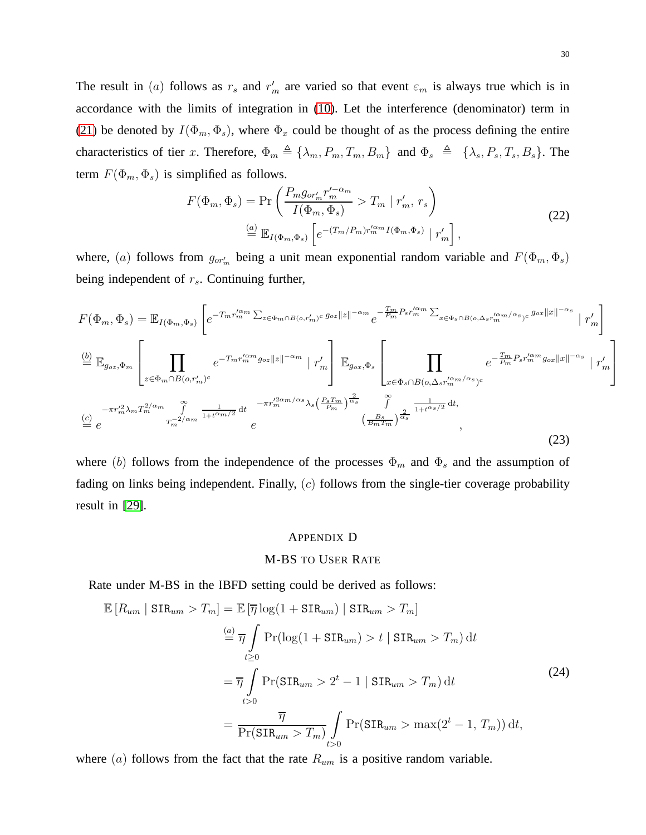The result in (a) follows as  $r_s$  and  $r'_m$  are varied so that event  $\varepsilon_m$  is always true which is in accordance with the limits of integration in [\(10\)](#page-14-2). Let the interference (denominator) term in [\(21\)](#page-28-1) be denoted by  $I(\Phi_m, \Phi_s)$ , where  $\Phi_x$  could be thought of as the process defining the entire characteristics of tier x. Therefore,  $\Phi_m \triangleq {\lambda_m, P_m, T_m, B_m}$  and  $\Phi_s \triangleq {\lambda_s, P_s, T_s, B_s}$ . The term  $F(\Phi_m, \Phi_s)$  is simplified as follows.

$$
F(\Phi_m, \Phi_s) = \Pr\left(\frac{P_m g_{or'_m} r'_m^{\prime - \alpha_m}}{I(\Phi_m, \Phi_s)} > T_m \mid r'_m, r_s\right)
$$
\n
$$
\stackrel{(a)}{=} \mathbb{E}_{I(\Phi_m, \Phi_s)} \left[e^{-(T_m/P_m)r_m^{\prime \alpha_m} I(\Phi_m, \Phi_s)} \mid r'_m\right],\tag{22}
$$

where, (a) follows from  $g_{or'_m}$  being a unit mean exponential random variable and  $F(\Phi_m, \Phi_s)$ being independent of  $r_s$ . Continuing further,

<span id="page-29-1"></span>
$$
F(\Phi_m, \Phi_s) = \mathbb{E}_{I(\Phi_m, \Phi_s)} \left[ e^{-T_m r_m^{\prime \alpha_m} \sum_{z \in \Phi_m \cap B(o, r'_m)^c} g_{oz} ||z||^{-\alpha_m} e^{-\frac{T_m}{P_m} P_s r_m^{\prime \alpha_m} \sum_{x \in \Phi_s \cap B(o, \Delta_s r_m^{\prime \alpha_m/\alpha_s})c} g_{oz} ||x||^{-\alpha_s}} \mid r'_m \right]
$$
  
\n
$$
\stackrel{(b)}{=} \mathbb{E}_{g_{oz}, \Phi_m} \left[ \prod_{z \in \Phi_m \cap B(o, r'_m)^c} e^{-T_m r_m^{\prime \alpha_m} g_{oz} ||z||^{-\alpha_m} \mid r'_m} \right] \mathbb{E}_{g_{ox}, \Phi_s} \left[ \prod_{x \in \Phi_s \cap B(o, \Delta_s r_m^{\prime \alpha_m/\alpha_s})c} e^{-\frac{T_m}{P_m} P_s r_m^{\prime \alpha_m} g_{ox} ||x||^{-\alpha_s}} \mid r'_m \right]
$$
  
\n
$$
\stackrel{(c)}{=} e^{-\pi r_m^{\prime 2} \lambda_m T_m^{\frac{2}{\alpha_m}} \sum_{\substack{\pi \\ m}}^{\infty} \frac{1}{1 + t^{\alpha_m/2}} dt e^{-\pi r_m^{\prime 2\alpha_m/\alpha_s} \lambda_s \left(\frac{P_s T_m}{P_m}\right)^{\frac{2}{\alpha_s}}} \int_{\frac{S}{(B_m T_m)} \sum_{\substack{\alpha \\ \alpha \\ \beta}}^{\infty} \frac{1}{1 + t^{\alpha_s/2}} dt,
$$
\n
$$
(23)
$$

where (b) follows from the independence of the processes  $\Phi_m$  and  $\Phi_s$  and the assumption of fading on links being independent. Finally,  $(c)$  follows from the single-tier coverage probability result in [\[29\]](#page-25-8).

# <span id="page-29-0"></span>APPENDIX D

# M-BS TO USER RATE

Rate under M-BS in the IBFD setting could be derived as follows:

$$
\mathbb{E}\left[R_{um} \mid \text{SIR}_{um} > T_m\right] = \mathbb{E}\left[\overline{\eta} \log(1 + \text{SIR}_{um}) \mid \text{SIR}_{um} > T_m\right]
$$
\n
$$
\stackrel{(a)}{=} \overline{\eta} \int_{t \ge 0} \Pr(\log(1 + \text{SIR}_{um}) > t \mid \text{SIR}_{um} > T_m) \, \text{d}t
$$
\n
$$
= \overline{\eta} \int_{t > 0} \Pr(\text{SIR}_{um} > 2^t - 1 \mid \text{SIR}_{um} > T_m) \, \text{d}t
$$
\n
$$
= \frac{\overline{\eta}}{\Pr(\text{SIR}_{um} > T_m)} \int_{t > 0} \Pr(\text{SIR}_{um} > \max(2^t - 1, T_m)) \, \text{d}t,
$$
\n(24)

where  $(a)$  follows from the fact that the rate  $R_{um}$  is a positive random variable.